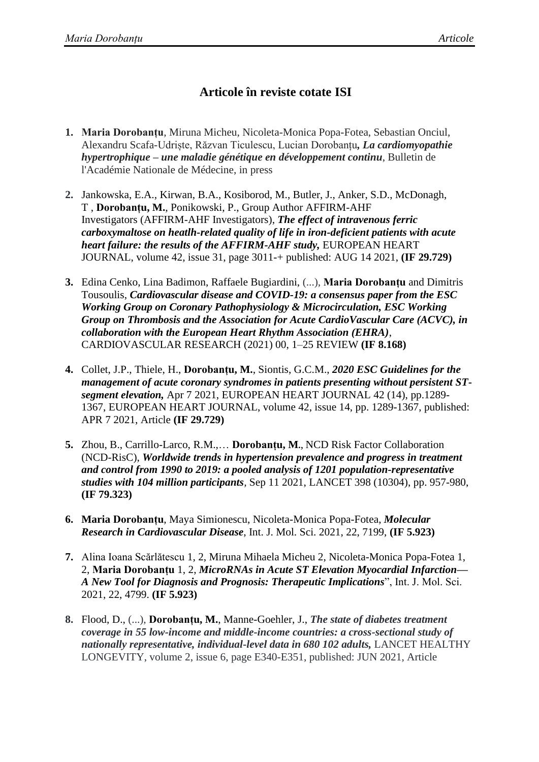## **Articole în reviste cotate ISI**

- **1. Maria Dorobanțu**, Miruna Micheu, Nicoleta-Monica Popa-Fotea, Sebastian Onciul, Alexandru Scafa-Udriște, Răzvan Ticulescu, Lucian Dorobanțu*, La cardiomyopathie hypertrophique – une maladie génétique en développement continu*, Bulletin de l'Académie Nationale de Médecine, in press
- **2.** [Jankowska, E.A.](https://www.webofscience.com/wos/author/record/35045779), [Kirwan, B.A.](https://www.webofscience.com/wos/author/record/898305), [Kosiborod, M.](https://www.webofscience.com/wos/author/record/70406), [Butler, J.](https://www.webofscience.com/wos/author/record/19795), [Anker, S.D.](https://www.webofscience.com/wos/author/record/896), [McDonagh,](https://www.webofscience.com/wos/author/record/36879329)  [T](https://www.webofscience.com/wos/author/record/36879329) , **Dorobanțu, M.**, [Ponikowski, P.](https://www.webofscience.com/wos/author/record/41671758), Group Author [AFFIRM-AHF](https://www.webofscience.com/wos/woscc/general-summary?queryJson=%5B%7B%22rowBoolean%22:null,%22rowField%22:%22GP%22,%22rowText%22:%22AFFIRM-AHF%20Investigators%22%7D%5D&eventMode=oneClickSearch)  [Investigators](https://www.webofscience.com/wos/woscc/general-summary?queryJson=%5B%7B%22rowBoolean%22:null,%22rowField%22:%22GP%22,%22rowText%22:%22AFFIRM-AHF%20Investigators%22%7D%5D&eventMode=oneClickSearch) (AFFIRM-AHF Investigators), *The effect of intravenous ferric carboxymaltose on heatlh-related quality of life in iron-deficient patients with acute heart failure: the results of the AFFIRM-AHF study,* EUROPEAN HEART JOURNAL, volume 42, issue 31, page 3011-+ published: AUG 14 2021, **(IF 29.729)**
- **3.** Edina Cenko, Lina Badimon, Raffaele Bugiardini, (...), **Maria Dorobanțu** and Dimitris Tousoulis, *Cardiovascular disease and COVID-19: a consensus paper from the ESC Working Group on Coronary Pathophysiology & Microcirculation, ESC Working Group on Thrombosis and the Association for Acute CardioVascular Care (ACVC), in collaboration with the European Heart Rhythm Association (EHRA)*, CARDIOVASCULAR RESEARCH (2021) 00, 1–25 REVIEW **(IF 8.168)**
- **4.** Collet, J.P., Thiele, H., **Dorobanțu, M.**, [Siontis, G.C.M.](https://www.webofscience.com/wos/author/record/855669), *2020 ESC Guidelines for the management of acute coronary syndromes in patients presenting without persistent STsegment elevation,* Apr 7 2021, EUROPEAN HEART JOURNAL 42 (14), pp.1289- 1367, EUROPEAN HEART JOURNAL, volume 42, issue 14, pp. 1289-1367, published: APR 7 2021, Article **(IF 29.729)**
- **5.** [Zhou, B.](https://www.webofscience.com/wos/author/record/43953290), [Carrillo-Larco, R.M.](https://www.webofscience.com/wos/author/record/1173295),… **Dorobanțu, M.**, NCD Risk Factor Collaboration (NCD-RisC), *Worldwide trends in hypertension prevalence and progress in treatment and control from 1990 to 2019: a pooled analysis of 1201 population-representative studies with 104 million participants,* Sep 11 2021, LANCET 398 (10304), pp. 957-980, **(IF 79.323)**
- **6. Maria Dorobanțu**, Maya Simionescu, Nicoleta-Monica Popa-Fotea, *Molecular Research in Cardiovascular Disease*, Int. J. Mol. Sci. 2021, 22, 7199, **(IF 5.923)**
- **7.** Alina Ioana Scărlătescu 1, 2, Miruna Mihaela Micheu 2, Nicoleta-Monica Popa-Fotea 1, 2, **Maria Dorobanțu** 1, 2, *MicroRNAs in Acute ST Elevation Myocardial Infarction— A New Tool for Diagnosis and Prognosis: Therapeutic Implications*", Int. J. Mol. Sci. 2021, 22, 4799. **(IF 5.923)**
- **8.** [Flood, D.](https://www.webofscience.com/wos/author/record/3122515), (...), **Dorobanțu, M.**, [Manne-Goehler, J.](https://www.webofscience.com/wos/author/record/43395234), *The state of diabetes treatment coverage in 55 low-income and middle-income countries: a cross-sectional study of nationally representative, individual-level data in 680 102 adults,* LANCET HEALTHY LONGEVITY, volume 2, issue 6, page E340-E351, published: JUN 2021, Article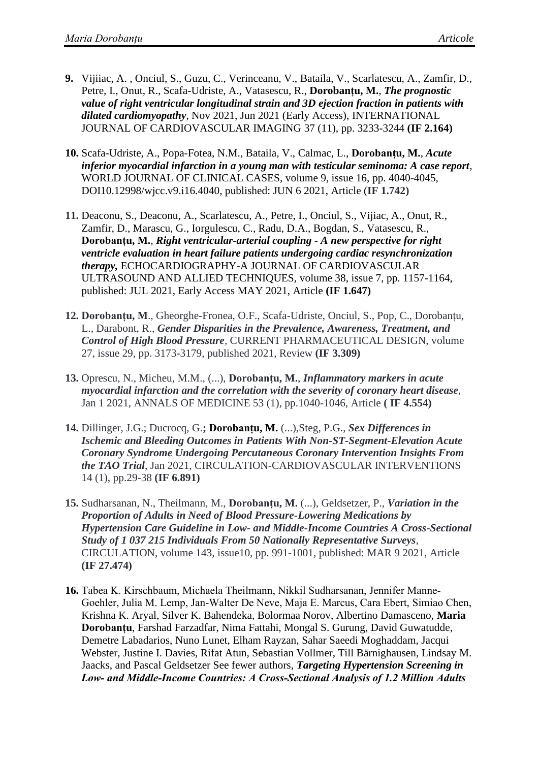- **9.** [Vijiiac, A.](https://www.webofscience.com/wos/author/record/39307642) , [Onciul, S.](https://www.webofscience.com/wos/author/record/2827004), [Guzu, C.](https://www.webofscience.com/wos/author/record/42714816), [Verinceanu, V.](https://www.webofscience.com/wos/author/record/44539123), [Bataila, V.](https://www.webofscience.com/wos/author/record/5987037), [Scarlatescu, A.](https://www.webofscience.com/wos/author/record/9669212), [Zamfir, D.](https://www.webofscience.com/wos/author/record/4635441), [Petre, I.](https://www.webofscience.com/wos/author/record/5414942), [Onut, R.](https://www.webofscience.com/wos/author/record/4654873), [Scafa-Udriste, A.](https://www.webofscience.com/wos/author/record/44581890), [Vatasescu, R.](https://www.webofscience.com/wos/author/record/36898075), **Dorobanțu, M.**, *The prognostic value of right ventricular longitudinal strain and 3D ejection fraction in patients with dilated cardiomyopathy*, Nov 2021, Jun 2021 (Early Access), INTERNATIONAL JOURNAL OF CARDIOVASCULAR IMAGING 37 (11), pp. 3233-3244 **(IF 2.164)**
- **10.** Scafa-Udriste, A., Popa-Fotea, N.M., Bataila, V., Calmac, L., **Dorobanțu, M.**, *Acute inferior myocardial infarction in a young man with testicular seminoma: A case report,*  WORLD JOURNAL OF CLINICAL CASES, volume 9, issue 16, pp. 4040-4045, DOI10.12998/wjcc.v9.i16.4040, published: JUN 6 2021, Article (**IF 1.742)**
- **11.** [Deaconu, S.](https://www.webofscience.com/wos/author/record/43310940), [Deaconu, A.](https://www.webofscience.com/wos/author/record/7714769), [Scarlatescu, A.](https://www.webofscience.com/wos/author/record/9669212), [Petre, I.](https://www.webofscience.com/wos/author/record/5414942), [Onciul, S.](https://www.webofscience.com/wos/author/record/2827004), [Vijiac, A.](https://www.webofscience.com/wos/author/record/29472525), [Onut, R.](https://www.webofscience.com/wos/author/record/4654873), [Zamfir, D.](https://www.webofscience.com/wos/author/record/4635441), [Marascu, G.](https://www.webofscience.com/wos/author/record/44120496), [Iorgulescu, C.](https://www.webofscience.com/wos/author/record/4152491), [Radu, D.A.](https://www.webofscience.com/wos/author/record/5895920), [Bogdan, S.](https://www.webofscience.com/wos/author/record/36811454), [Vatasescu, R.](https://www.webofscience.com/wos/author/record/36898075), **Dorobanțu, M.**, *Right ventricular-arterial coupling - A new perspective for right ventricle evaluation in heart failure patients undergoing cardiac resynchronization therapy,* ECHOCARDIOGRAPHY-A JOURNAL OF CARDIOVASCULAR ULTRASOUND AND ALLIED TECHNIQUES, volume 38, issue 7, pp. 1157-1164, published: JUL 2021, Early Access MAY 2021, Article **(IF 1.647)**
- **12. Dorobanțu, M**., Gheorghe-Fronea, O.F., Scafa-Udriste, Onciul, S., Pop, C., Dorobanțu, L., Darabont, R., *Gender Disparities in the Prevalence, Awareness, Treatment, and Control of High Blood Pressure,* CURRENT PHARMACEUTICAL DESIGN, volume 27, issue 29, pp. 3173-3179, published 2021, Review **(IF 3.309)**
- **13.** Oprescu, N., Micheu, M.M., (...), **Dorobanțu, M.**, *Inflammatory markers in acute myocardial infarction and the correlation with the severity of coronary heart disease*, Jan 1 2021, ANNALS OF MEDICINE 53 (1), pp.1040-1046, Article **( IF 4.554)**
- **14.** Dillinger, J.G.; Ducrocq, G.**; Dorobanțu, M.** (...),Steg, P.G., *Sex Differences in Ischemic and Bleeding Outcomes in Patients With Non-ST-Segment-Elevation Acute Coronary Syndrome Undergoing Percutaneous Coronary Intervention Insights From the TAO Trial*, Jan 2021, CIRCULATION-CARDIOVASCULAR INTERVENTIONS 14 (1), pp.29-38 **(IF 6.891)**
- **15.** Sudharsanan, N., Theilmann, M., **Dorobanțu, M.** (...), Geldsetzer, P., *Variation in the Proportion of Adults in Need of Blood Pressure-Lowering Medications by Hypertension Care Guideline in Low- and Middle-Income Countries A Cross-Sectional Study of 1 037 215 Individuals From 50 Nationally Representative Surveys,* CIRCULATION, volume 143, issue10, pp. 991-1001, published: MAR 9 2021, Article **(IF 27.474)**
- **16.** Tabea K. Kirschbaum, Michaela Theilmann, Nikkil Sudharsanan, Jennifer Manne‐ Goehler, Julia M. Lemp, Jan‐Walter De Neve, Maja E. Marcus, Cara Ebert, Simiao Chen, Krishna K. Aryal, Silver K. Bahendeka, Bolormaa Norov, Albertino Damasceno, **Maria Dorobanțu**, Farshad Farzadfar, Nima Fattahi, Mongal S. Gurung, David Guwatudde, Demetre Labadarios, Nuno Lunet, Elham Rayzan, Sahar Saeedi Moghaddam, Jacqui Webster, Justine I. Davies, Rifat Atun, Sebastian Vollmer, Till Bärnighausen, Lindsay M. Jaacks, and Pascal Geldsetzer See fewer authors, *Targeting Hypertension Screening in Low‐ and Middle‐Income Countries: A Cross‐Sectional Analysis of 1.2 Million Adults*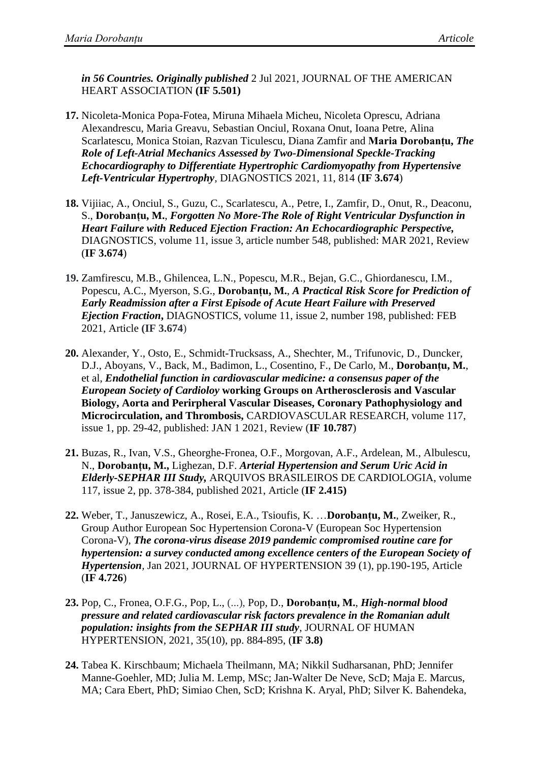*in 56 Countries. Originally published* 2 Jul 2021, JOURNAL OF THE AMERICAN HEART ASSOCIATION **(IF 5.501)**

- **17.** Nicoleta-Monica Popa-Fotea, Miruna Mihaela Micheu, Nicoleta Oprescu, Adriana Alexandrescu, Maria Greavu, Sebastian Onciul, Roxana Onut, Ioana Petre, Alina Scarlatescu, Monica Stoian, Razvan Ticulescu, Diana Zamfir and **Maria Dorobanțu,** *The Role of Left-Atrial Mechanics Assessed by Two-Dimensional Speckle-Tracking Echocardiography to Differentiate Hypertrophic Cardiomyopathy from Hypertensive Left-Ventricular Hypertrophy,* DIAGNOSTICS 2021, 11, 814 (**IF 3.674**)
- **18.** Vijiiac, A., Onciul, S., Guzu, C., Scarlatescu, A., Petre, I., Zamfir, D., Onut, R., Deaconu, S., **Dorobanțu, M.**, *Forgotten No More-The Role of Right Ventricular Dysfunction in Heart Failure with Reduced Ejection Fraction: An Echocardiographic Perspective,*  DIAGNOSTICS, volume 11, issue 3, article number 548, published: MAR 2021, Review (**IF 3.674**)
- **19.** Zamfirescu, M.B., Ghilencea, L.N., Popescu, M.R., Bejan, G.C., Ghiordanescu, I.M., Popescu, A.C., Myerson, S.G., **Dorobanțu, M.**, *A Practical Risk Score for Prediction of Early Readmission after a First Episode of Acute Heart Failure with Preserved Ejection Fraction***,** DIAGNOSTICS, volume 11, issue 2, number 198, published: FEB 2021, Article **(IF 3.674**)
- **20.** Alexander, Y., Osto, E., Schmidt-Trucksass, A., Shechter, M., Trifunovic, D., Duncker, D.J., Aboyans, V., Back, M., Badimon, L., Cosentino, F., De Carlo, M., **Dorobanțu, M.**, et al, *Endothelial function in cardiovascular medicine: a consensus paper of the European Society of Cardioloy* **working Groups on Artherosclerosis and Vascular Biology, Aorta and Perirpheral Vascular Diseases, Coronary Pathophysiology and Microcirculation, and Thrombosis,** CARDIOVASCULAR RESEARCH, volume 117, issue 1, pp. 29-42, published: JAN 1 2021, Review (**IF 10.787**)
- **21.** Buzas, R., Ivan, V.S., Gheorghe-Fronea, O.F., Morgovan, A.F., Ardelean, M., Albulescu, N., **Dorobanțu, M.,** Lighezan, D.F. *Arterial Hypertension and Serum Uric Acid in Elderly-SEPHAR III Study,* ARQUIVOS BRASILEIROS DE CARDIOLOGIA, volume 117, issue 2, pp. 378-384, published 2021, Article (**IF 2.415)**
- **22.** [Weber, T.](https://www.webofscience.com/wos/author/record/43951018), [Januszewicz, A.](https://www.webofscience.com/wos/author/record/32513), [Rosei, E.A.](https://www.webofscience.com/wos/author/record/39361), [Tsioufis, K.](https://www.webofscience.com/wos/author/record/220766) …**Dorobanțu, M.**, [Zweiker, R.](https://www.webofscience.com/wos/author/record/164772), Group Author European Soc Hypertension Corona-V (European Soc Hypertension Corona-V), *The corona-virus disease 2019 pandemic compromised routine care for hypertension: a survey conducted among excellence centers of the European Society of Hypertension,* Jan 2021, JOURNAL OF HYPERTENSION 39 (1), pp.190-195, Article (**IF 4.726**)
- **23.** [Pop, C.,](https://www-scopus-com.ezproxy.medgrid.eu/authid/detail.uri?authorId=55574258600) [Fronea, O.F.G.,](https://www-scopus-com.ezproxy.medgrid.eu/authid/detail.uri?authorId=57219160643) [Pop, L.,](https://www-scopus-com.ezproxy.medgrid.eu/authid/detail.uri?authorId=56933773000) (...), [Pop, D.,](https://www-scopus-com.ezproxy.medgrid.eu/authid/detail.uri?authorId=24169213000) **[Dorobanțu, M.](https://www-scopus-com.ezproxy.medgrid.eu/authid/detail.uri?authorId=6604055561)**, *[High-normal blood](https://www-scopus-com.ezproxy.medgrid.eu/record/display.uri?eid=2-s2.0-85091514807&origin=resultslist)  [pressure and related cardiovascular risk factors prevalence in the Romanian adult](https://www-scopus-com.ezproxy.medgrid.eu/record/display.uri?eid=2-s2.0-85091514807&origin=resultslist)  [population: insights from the SEPHAR III study](https://www-scopus-com.ezproxy.medgrid.eu/record/display.uri?eid=2-s2.0-85091514807&origin=resultslist)*, [JOURNAL OF HUMAN](https://www-scopus-com.ezproxy.medgrid.eu/sourceid/23875?origin=resultslist)  [HYPERTENSION,](https://www-scopus-com.ezproxy.medgrid.eu/sourceid/23875?origin=resultslist) 2021, 35(10), pp. 884-895, (**IF 3.8)**
- **24.** Tabea K. Kirschbaum; Michaela Theilmann, MA; Nikkil Sudharsanan, PhD; Jennifer Manne-Goehler, MD; Julia M. Lemp, MSc; Jan-Walter De Neve, ScD; Maja E. Marcus, MA; Cara Ebert, PhD; Simiao Chen, ScD; Krishna K. Aryal, PhD; Silver K. Bahendeka,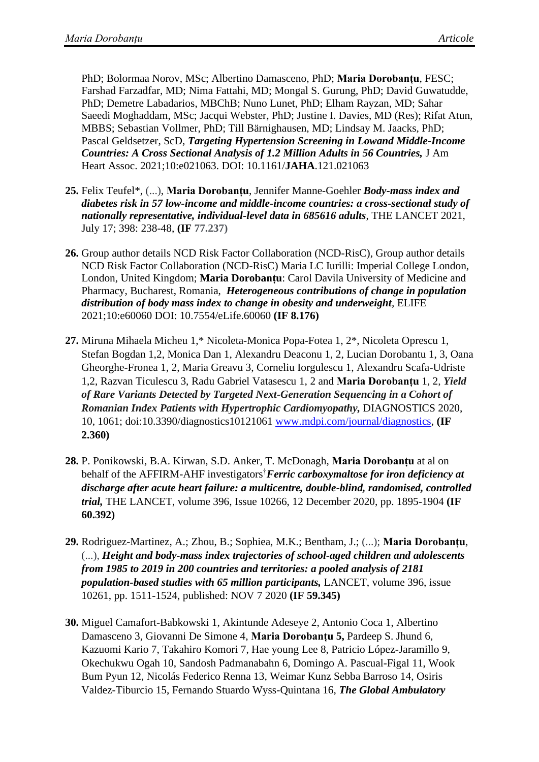PhD; Bolormaa Norov, MSc; Albertino Damasceno, PhD; **Maria Dorobanțu**, FESC; Farshad Farzadfar, MD; Nima Fattahi, MD; Mongal S. Gurung, PhD; David Guwatudde, PhD; Demetre Labadarios, MBChB; Nuno Lunet, PhD; Elham Rayzan, MD; Sahar Saeedi Moghaddam, MSc; Jacqui Webster, PhD; Justine I. Davies, MD (Res); Rifat Atun, MBBS; Sebastian Vollmer, PhD; Till Bärnighausen, MD; Lindsay M. Jaacks, PhD; Pascal Geldsetzer, ScD, *Targeting Hypertension Screening in Lowand Middle-Income Countries: A Cross Sectional Analysis of 1.2 Million Adults in 56 Countries,* J Am Heart Assoc. 2021;10:e021063. DOI: 10.1161/**JAHA**.121.021063

- **25.** Felix Teufel\*, (...), **Maria Dorobanțu**, Jennifer Manne-Goehler *Body-mass index and diabetes risk in 57 low-income and middle-income countries: a cross-sectional study of nationally representative, individual-level data in 685616 adults*, THE LANCET 2021, July 17; 398: 238-48, **(IF 77.237)**
- **26.** Group author details NCD Risk Factor Collaboration (NCD-RisC), Group author details NCD Risk Factor Collaboration (NCD-RisC) Maria LC Iurilli: Imperial College London, London, United Kingdom; **Maria Dorobanțu**: Carol Davila University of Medicine and Pharmacy, Bucharest, Romania, *Heterogeneous contributions of change in population distribution of body mass index to change in obesity and underweight,* ELIFE 2021;10:e60060 DOI: 10.7554/eLife.60060 **(IF 8.176)**
- **27.** Miruna Mihaela Micheu 1,\* Nicoleta-Monica Popa-Fotea 1, 2\*, Nicoleta Oprescu 1, Stefan Bogdan 1,2, Monica Dan 1, Alexandru Deaconu 1, 2, Lucian Dorobantu 1, 3, Oana Gheorghe-Fronea 1, 2, Maria Greavu 3, Corneliu Iorgulescu 1, Alexandru Scafa-Udriste 1,2, Razvan Ticulescu 3, Radu Gabriel Vatasescu 1, 2 and **Maria Dorobanțu** 1, 2, *Yield of Rare Variants Detected by Targeted Next-Generation Sequencing in a Cohort of Romanian Index Patients with Hypertrophic Cardiomyopathy,* DIAGNOSTICS 2020, 10, 1061; doi:10.3390/diagnostics10121061 [www.mdpi.com/journal/diagnostics,](http://www.mdpi.com/journal/diagnostics) **(IF 2.360)**
- **28.** P. [Ponikowski,](https://scholar.google.ro/citations?user=SnFK2RYAAAAJ&hl=ro&oi=sra) B.A. Kirwan, S.D. Anker, T. McDonagh, **[Maria Dorobanțu](https://www.sciencedirect.com/science/article/abs/pii/S0140673620323394#!)** at al on behalf of the AFFIRM-AHF investigators[†](https://www.sciencedirect.com/science/article/abs/pii/S0140673620323394#fn1)*Ferric carboxymaltose for iron deficiency at discharge after acute heart failure: a multicentre, double-blind, randomised, controlled trial,* THE LANCET, volume 396, Issue 10266, 12 December 2020, pp. 1895-1904 **(IF 60.392)**
- **29.** Rodriguez-Martinez, A.; Zhou, B.; Sophiea, M.K.; Bentham, J.; (...); **Maria Dorobanțu**, (...), *Height and body-mass index trajectories of school-aged children and adolescents from 1985 to 2019 in 200 countries and territories: a pooled analysis of 2181 population-based studies with 65 million participants,* LANCET, volume 396, issue 10261, pp. 1511-1524, published: NOV 7 2020 **(IF 59.345)**
- **30.** Miguel Camafort-Babkowski 1, Akintunde Adeseye 2, Antonio Coca 1, Albertino Damasceno 3, Giovanni De Simone 4, **Maria Dorobanțu 5,** Pardeep S. Jhund 6, Kazuomi Kario 7, Takahiro Komori 7, Hae young Lee 8, Patricio López-Jaramillo 9, Okechukwu Ogah 10, Sandosh Padmanabahn 6, Domingo A. Pascual-Figal 11, Wook Bum Pyun 12, Nicolás Federico Renna 13, Weimar Kunz Sebba Barroso 14, Osiris Valdez-Tiburcio 15, Fernando Stuardo Wyss-Quintana 16, *The Global Ambulatory*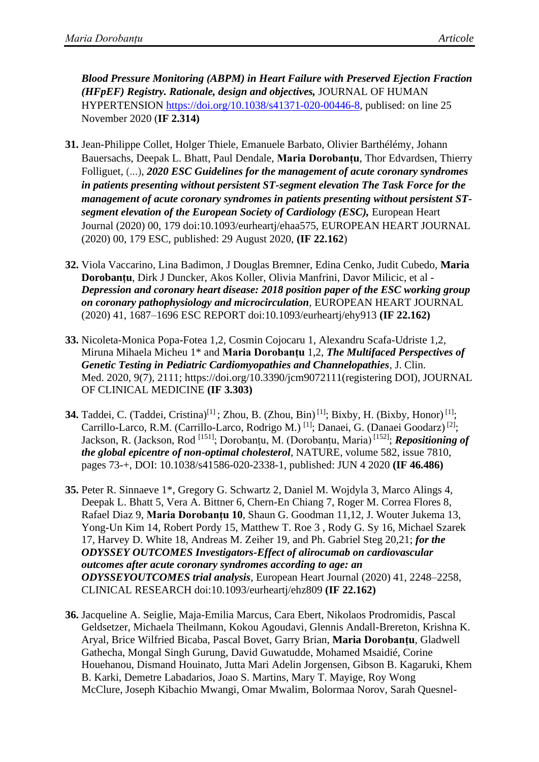*Blood Pressure Monitoring (ABPM) in Heart Failure with Preserved Ejection Fraction (HFpEF) Registry. Rationale, design and objectives,* JOURNAL OF HUMAN HYPERTENSION [https://doi.org/10.1038/s41371-020-00446-8,](https://doi.org/10.1038/s41371-020-00446-8) publised: on line 25 November 2020 (**IF 2.314)**

- **31.** Jean-Philippe Collet, Holger Thiele, Emanuele Barbato, Olivier Barthélémy, Johann Bauersachs, Deepak L. Bhatt, Paul Dendale, **Maria Dorobanțu**, Thor Edvardsen, Thierry Folliguet, (...), *2020 ESC Guidelines for the management of acute coronary syndromes in patients presenting without persistent ST-segment elevation The Task Force for the management of acute coronary syndromes in patients presenting without persistent STsegment elevation of the European Society of Cardiology (ESC),* European Heart Journal (2020) 00, 179 doi:10.1093/eurheartj/ehaa575, EUROPEAN HEART JOURNAL (2020) 00, 179 ESC, published: 29 August 2020, **(IF 22.162**)
- **32.** Viola Vaccarino, Lina Badimon, J Douglas Bremner, Edina Cenko, Judit Cubedo, **Maria Dorobanțu**, Dirk J Duncker, Akos Koller, Olivia Manfrini, Davor Milicic, et al - *Depression and coronary heart disease: 2018 position paper of the ESC working group on coronary pathophysiology and microcirculation,* EUROPEAN HEART JOURNAL (2020) 41, 1687–1696 ESC REPORT doi:10.1093/eurheartj/ehy913 **(IF 22.162)**
- **33.** Nicoleta-Monica Popa-Fotea 1,2, Cosmin Cojocaru 1, Alexandru Scafa-Udriste 1,2, Miruna Mihaela Micheu 1\* and **Maria Dorobanțu** 1,2, *The Multifaced Perspectives of Genetic Testing in Pediatric Cardiomyopathies and Channelopathies*, J. Clin. Med. 2020, 9(7)*,* 2111; https://doi.org/10.3390/jcm9072111(registering DOI), JOURNAL OF CLINICAL MEDICINE **(IF 3.303)**
- **34.** Taddei, C. (Taddei, Cristina)<sup>[1]</sup>; Zhou, B. (Zhou, Bin)<sup>[1]</sup>; Bixby, H. (Bixby, Honor)<sup>[1]</sup>; Carrillo-Larco, R.M. (Carrillo-Larco, Rodrigo M.)<sup>[1]</sup>; Danaei, G. (Danaei Goodarz)<sup>[2]</sup>; Jackson, R. (Jackson, Rod [151]; Dorobanțu, M. (Dorobanțu, Maria) [152]; *Repositioning of the global epicentre of non-optimal cholesterol,* NATURE, volume 582, issue 7810, pages 73-+, DOI: 10.1038/s41586-020-2338-1, published: JUN 4 2020 **(IF 46.486)**
- **35.** Peter R. Sinnaeve 1\*, Gregory G. Schwartz 2, Daniel M. Wojdyla 3, Marco Alings 4, Deepak L. Bhatt 5, Vera A. Bittner 6, Chern-En Chiang 7, Roger M. Correa Flores 8, Rafael Diaz 9, **Maria Dorobanțu 10**, Shaun G. Goodman 11,12, J. Wouter Jukema 13, Yong-Un Kim 14, Robert Pordy 15, Matthew T. Roe 3 , Rody G. Sy 16, Michael Szarek 17, Harvey D. White 18, Andreas M. Zeiher 19, and Ph. Gabriel Steg 20,21; *for the ODYSSEY OUTCOMES Investigators-Effect of alirocumab on cardiovascular outcomes after acute coronary syndromes according to age: an ODYSSEYOUTCOMES trial analysis*, European Heart Journal (2020) 41, 2248–2258, CLINICAL RESEARCH doi:10.1093/eurheartj/ehz809 **(IF 22.162)**
- **36.** Jacqueline A. Seiglie, Maja-Emilia Marcus, Cara Ebert, Nikolaos Prodromidis, Pascal Geldsetzer, Michaela Theilmann, Kokou Agoudavi, Glennis Andall-Brereton, Krishna K. Aryal, Brice Wilfried Bicaba, Pascal Bovet, Garry Brian, **Maria Dorobanțu**, Gladwell Gathecha, Mongal Singh Gurung, David Guwatudde, Mohamed Msaidié, Corine Houehanou, Dismand Houinato, Jutta Mari Adelin Jorgensen, Gibson B. Kagaruki, Khem B. Karki, Demetre Labadarios, Joao S. Martins, Mary T. Mayige, Roy Wong McClure, Joseph Kibachio Mwangi, Omar Mwalim, Bolormaa Norov, Sarah Quesnel-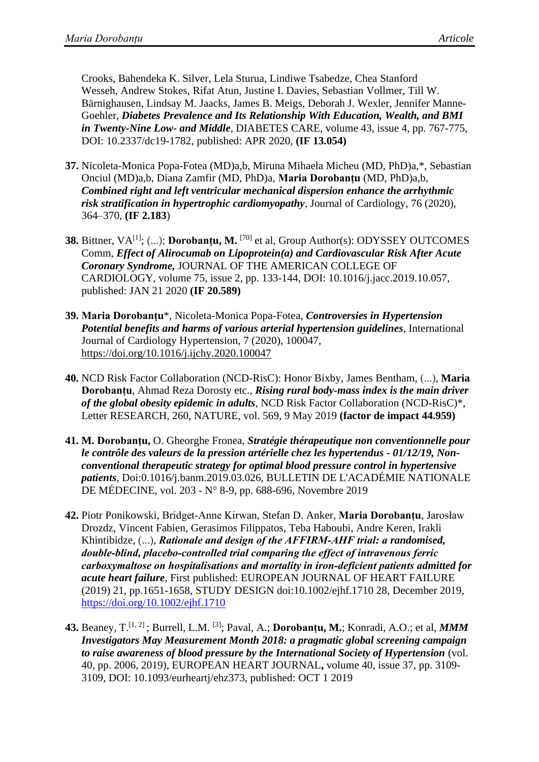Crooks, Bahendeka K. Silver, Lela Sturua, Lindiwe Tsabedze, Chea Stanford Wesseh, Andrew Stokes, Rifat Atun, Justine I. Davies, Sebastian Vollmer, Till W. Bärnighausen, Lindsay M. Jaacks, James B. Meigs, Deborah J. Wexler, Jennifer Manne-Goehler, *Diabetes Prevalence and Its Relationship With Education, Wealth, and BMI in Twenty-Nine Low- and Middle,* DIABETES CARE, volume 43, issue 4, pp. 767-775, DOI: 10.2337/dc19-1782, published: APR 2020, **(IF 13.054)**

- **37.** Nicoleta-Monica Popa-Fotea (MD)a,b, Miruna Mihaela Micheu (MD, PhD)a,\*, Sebastian Onciul (MD)a,b, Diana Zamfir (MD, PhD)a, **Maria Dorobanțu** (MD, PhD)a,b, *Combined right and left ventricular mechanical dispersion enhance the arrhythmic risk stratification in hypertrophic cardiomyopathy,* Journal of Cardiology, 76 (2020), 364–370, **(IF 2.183**)
- **38.** Bittner, VA<sup>[1]</sup>; (...); **Dorobanțu, M.** <sup>[70]</sup> et al, Group Author(s): ODYSSEY OUTCOMES Comm, *Effect of Alirocumab on Lipoprotein(a) and Cardiovascular Risk After Acute Coronary Syndrome,* JOURNAL OF THE AMERICAN COLLEGE OF CARDIOLOGY, volume 75, issue 2, pp. 133-144, DOI: 10.1016/j.jacc.2019.10.057, published: JAN 21 2020 **(IF 20.589)**
- **39. Maria Dorobanțu**\*, Nicoleta-Monica Popa-Fotea, *Controversies in Hypertension Potential benefits and harms of various arterial hypertension guidelines,* International Journal of Cardiology Hypertension, 7 (2020), 100047, <https://doi.org/10.1016/j.ijchy.2020.100047>
- **40.** NCD Risk Factor Collaboration (NCD-RisC): Honor Bixby, James Bentham, (...), **Maria Dorobanțu**, Ahmad Reza Dorosty etc., *Rising rural body-mass index is the main driver of the global obesity epidemic in adults,* NCD Risk Factor Collaboration (NCD-RisC)\*, Letter RESEARCH, 260, NATURE, vol. 569, 9 May 2019 **(factor de impact 44.959)**
- **41. M. Dorobanțu,** O. Gheorghe Fronea, *Stratégie thérapeutique non conventionnelle pour le contrôle des valeurs de la pression artérielle chez les hypertendus - 01/12/19, Nonconventional therapeutic strategy for optimal blood pressure control in hypertensive patients*, Doi:0.1016/j.banm.2019.03.026, BULLETIN DE L'ACADÉMIE NATIONALE DE MÉDECINE, vol. 203 - N° 8-9, pp. 688-696, Novembre 2019
- **42.** Piotr Ponikowski, Bridget‐Anne Kirwan, Stefan D. Anker, **Maria Dorobanțu**, Jarosław Drozdz, Vincent Fabien, Gerasimos Filippatos, Teba Haboubi, Andre Keren, Irakli Khintibidze, (...), *Rationale and design of the AFFIRM‐AHF trial: a randomised, double‐blind, placebo‐controlled trial comparing the effect of intravenous ferric carboxymaltose on hospitalisations and mortality in iron‐deficient patients admitted for acute heart failure,* First published: EUROPEAN JOURNAL OF HEART FAILURE (2019) 21, pp.1651-1658, STUDY DESIGN doi:10.1002/ejhf.1710 28, December 2019, <https://doi.org/10.1002/ejhf.1710>
- **43.** Beaney, T.[1, 2] ; Burrell, L.M. [3] ; Paval, A.; **Dorobanțu, M.**; Konradi, A.O.; et al, *MMM Investigators May Measurement Month 2018: a pragmatic global screening campaign to raise awareness of blood pressure by the International Society of Hypertension* (vol. 40, pp. 2006, 2019), EUROPEAN HEART JOURNAL**,** volume 40, issue 37, pp. 3109- 3109, DOI: 10.1093/eurheartj/ehz373, published: OCT 1 2019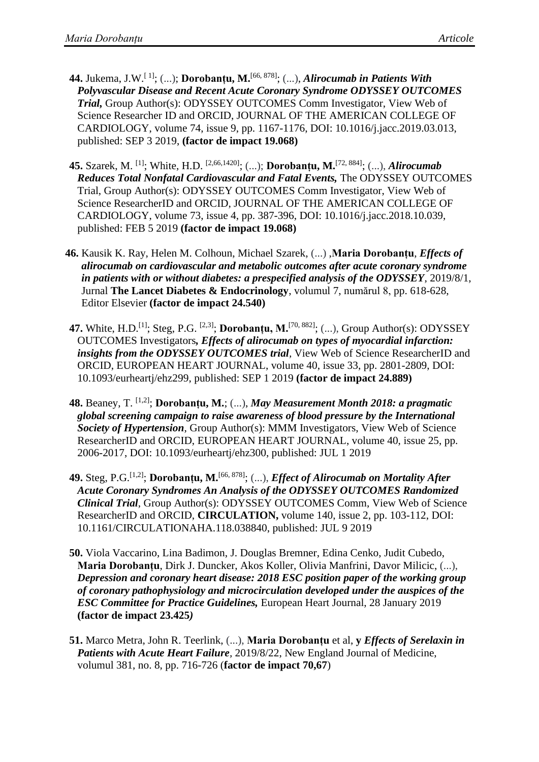- **44.** Jukema, J.W.<sup>[1]</sup>; (...); **Dorobanțu, M.**<sup>[66, 878]</sup>; (...), *Alirocumab in Patients With Polyvascular Disease and Recent Acute Coronary Syndrome ODYSSEY OUTCOMES Trial,* Group Author(s): ODYSSEY OUTCOMES Comm Investigator, View Web of Science Researcher ID and ORCID, JOURNAL OF THE AMERICAN COLLEGE OF CARDIOLOGY, volume 74, issue 9, pp. 1167-1176, DOI: 10.1016/j.jacc.2019.03.013, published: SEP 3 2019, **(factor de impact 19.068)**
- **45.** Szarek, M. [1]; White, H.D. [2,66,1420]; (...); **Dorobanțu, M.** [72, 884]; (...), *Alirocumab Reduces Total Nonfatal Cardiovascular and Fatal Events,* The ODYSSEY OUTCOMES Trial, Group Author(s): ODYSSEY OUTCOMES Comm Investigator, View Web of Science ResearcherID and ORCID, JOURNAL OF THE AMERICAN COLLEGE OF CARDIOLOGY, volume 73, issue 4, pp. 387-396, DOI: 10.1016/j.jacc.2018.10.039, published: FEB 5 2019 **(factor de impact 19.068)**
- **46.** Kausik K. Ray, Helen M. Colhoun, Michael Szarek, (...) ,**Maria Dorobanțu**, *Effects of alirocumab on cardiovascular and metabolic outcomes after acute coronary syndrome in patients with or without diabetes: a prespecified analysis of the ODYSSEY*, 2019/8/1, Jurnal **The Lancet Diabetes & Endocrinology**, volumul 7, numărul 8, pp. 618-628, Editor Elsevier **(factor de impact 24.540)**
- **47.** White, H.D.<sup>[1]</sup>; Steg, P.G. <sup>[2,3]</sup>; **Dorobanțu, M.**<sup>[70, 882]</sup>; (...), Group Author(s): ODYSSEY OUTCOMES Investigators*, Effects of alirocumab on types of myocardial infarction: insights from the ODYSSEY OUTCOMES trial,* View Web of Science ResearcherID and ORCID, EUROPEAN HEART JOURNAL, volume 40, issue 33, pp. 2801-2809, DOI: 10.1093/eurheartj/ehz299, published: SEP 1 2019 **(factor de impact 24.889)**
- **48.** Beaney, T. [1,2]; **Dorobanțu, M.**; (...), *May Measurement Month 2018: a pragmatic global screening campaign to raise awareness of blood pressure by the International Society of Hypertension*, Group Author(s): MMM Investigators, View Web of Science ResearcherID and ORCID, EUROPEAN HEART JOURNAL, volume 40, issue 25, pp. 2006-2017, DOI: 10.1093/eurheartj/ehz300, published: JUL 1 2019
- **49.** Steg, P.G.<sup>[1,2]</sup>; Dorobanțu, M.<sup>[66, 878]</sup>; (...), *Effect of Alirocumab on Mortality After Acute Coronary Syndromes An Analysis of the ODYSSEY OUTCOMES Randomized Clinical Trial*, Group Author(s): ODYSSEY OUTCOMES Comm, View Web of Science ResearcherID and ORCID, **CIRCULATION,** volume 140, issue 2, pp. 103-112, DOI: 10.1161/CIRCULATIONAHA.118.038840, published: JUL 9 2019
- **50.** Viola Vaccarino, Lina Badimon, J. Douglas Bremner, Edina Cenko, Judit Cubedo, **Maria Dorobanțu**, Dirk J. Duncker, Akos Koller, Olivia Manfrini, Davor Milicic, (...), *Depression and coronary heart disease: 2018 ESC position paper of the working group of coronary pathophysiology and microcirculation developed under the auspices of the ESC Committee for Practice Guidelines,* European Heart Journal, 28 January 2019 **(factor de impact 23.425***)*
- **51.** Marco Metra, John R. Teerlink, (...), **Maria Dorobanțu** et al, **y** *Effects of Serelaxin in Patients with Acute Heart Failure,* 2019/8/22, New England Journal of Medicine, volumul 381, no. 8, pp. 716-726 (**factor de impact 70,67**)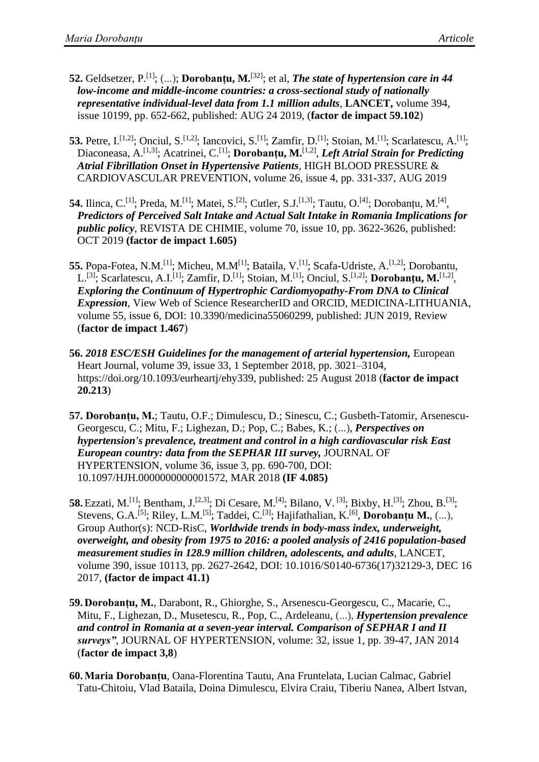- **52.** Geldsetzer, P.<sup>[1]</sup>; (...); **Dorobanțu, M.**<sup>[32]</sup>; et al, *The state of hypertension care in 44 low-income and middle-income countries: a cross-sectional study of nationally representative individual-level data from 1.1 million adults,* **LANCET,** volume 394, issue 10199, pp. 652-662, published: AUG 24 2019, (**factor de impact 59.102**)
- **53.** Petre, I.<sup>[1,2]</sup>; Onciul, S.<sup>[1,2]</sup>; Iancovici, S.<sup>[1]</sup>; Zamfir, D.<sup>[1]</sup>; Stoian, M.<sup>[1]</sup>; Scarlatescu, A.<sup>[1]</sup>; Diaconeasa, A.<sup>[1,3]</sup>; Acatrinei, C.<sup>[1]</sup>; **Dorobanțu, M.**<sup>[1,2]</sup>, *Left Atrial Strain for Predicting Atrial Fibrillation Onset in Hypertensive Patients,* HIGH BLOOD PRESSURE & CARDIOVASCULAR PREVENTION, volume 26, issue 4, pp. 331-337, AUG 2019
- **54.** Ilinca, C.<sup>[1]</sup>; Preda, M.<sup>[1]</sup>; Matei, S.<sup>[2]</sup>; Cutler, S.J.<sup>[1,3]</sup>; Tautu, O.<sup>[4]</sup>; Dorobanțu, M.<sup>[4]</sup>, *Predictors of Perceived Salt Intake and Actual Salt Intake in Romania Implications for public policy*, REVISTA DE CHIMIE, volume 70, issue 10, pp. 3622-3626, published: OCT 2019 **(factor de impact 1.605)**
- **55.** Popa-Fotea, N.M.<sup>[1]</sup>; Micheu, M.M<sup>[1]</sup>; Bataila, V.<sup>[1]</sup>; Scafa-Udriste, A.<sup>[1,2]</sup>; Dorobantu, L.<sup>[3]</sup>; Scarlatescu, A.I.<sup>[1]</sup>; Zamfir, D.<sup>[1]</sup>; Stoian, M.<sup>[1]</sup>; Onciul, S.<sup>[1,2]</sup>; Dorobanțu, M.<sup>[1,2]</sup>, *Exploring the Continuum of Hypertrophic Cardiomyopathy-From DNA to Clinical Expression*, View Web of Science ResearcherID and ORCID, MEDICINA-LITHUANIA, volume 55, issue 6, DOI: 10.3390/medicina55060299, published: JUN 2019, Review (**factor de impact 1.467**)
- **56.** *2018 ESC/ESH Guidelines for the management of arterial hypertension,* European Heart Journal, volume 39, issue 33, 1 September 2018, pp. 3021–3104, https://doi.org/10.1093/eurheartj/ehy339, published: 25 August 2018 (**factor de impact 20.213**)
- **57. Dorobanțu, M.**; Tautu, O.F.; Dimulescu, D.; Sinescu, C.; Gusbeth-Tatomir, Arsenescu-Georgescu, C.; Mitu, F.; Lighezan, D.; Pop, C.; Babes, K.; (...), *Perspectives on hypertension's prevalence, treatment and control in a high cardiovascular risk East European country: data from the SEPHAR III survey,* JOURNAL OF HYPERTENSION, volume 36, issue 3, pp. 690-700, DOI: 10.1097/HJH.0000000000001572, MAR 2018 **(IF 4.085)**
- **58.** Ezzati, M.<sup>[1]</sup>; Bentham, J.<sup>[2,3]</sup>; Di Cesare, M.<sup>[4]</sup>; Bilano, V.<sup>[3]</sup>; Bixby, H.<sup>[3]</sup>; Zhou, B.<sup>[3]</sup>; Stevens, G.A.<sup>[5]</sup>; Riley, L.M.<sup>[5]</sup>; Taddei, C.<sup>[3]</sup>; Hajifathalian, K.<sup>[6]</sup>, **Dorobanțu M.**, (...), Group Author(s): NCD-RisC, *Worldwide trends in body-mass index, underweight, overweight, and obesity from 1975 to 2016: a pooled analysis of 2416 population-based measurement studies in 128.9 million children, adolescents, and adults*, LANCET, volume 390, issue 10113, pp. 2627-2642, DOI: 10.1016/S0140-6736(17)32129-3, DEC 16 2017, **(factor de impact 41.1)**
- **59. Dorobanțu, M.**, Darabont, R., Ghiorghe, S., Arsenescu-Georgescu, C., Macarie, C., Mitu, F., Lighezan, D., Musetescu, R., Pop, C., Ardeleanu, (...), *Hypertension prevalence and control in Romania at a seven-year interval. Comparison of SEPHAR I and II surveys"*, JOURNAL OF HYPERTENSION, volume: 32, issue 1, pp. 39-47, JAN 2014 (**factor de impact 3,8**)
- **60.Maria Dorobanțu**, Oana-Florentina Tautu, Ana Fruntelata, Lucian Calmac, Gabriel Tatu-Chitoiu, Vlad Bataila, Doina Dimulescu, Elvira Craiu, Tiberiu Nanea, Albert Istvan,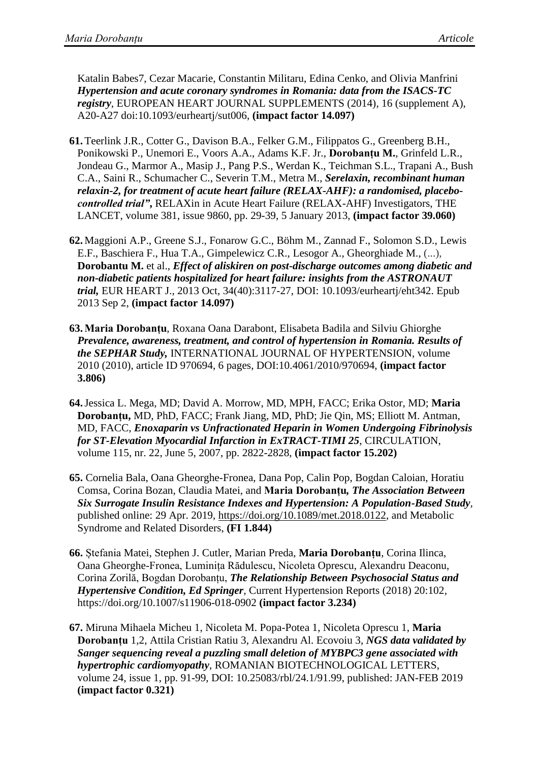Katalin Babes7, Cezar Macarie, Constantin Militaru, Edina Cenko, and Olivia Manfrini *Hypertension and acute coronary syndromes in Romania: data from the ISACS-TC registry,* EUROPEAN HEART JOURNAL SUPPLEMENTS (2014), 16 (supplement A), A20-A27 doi:10.1093/eurheartj/sut006, **(impact factor 14.097)**

- **61.**Teerlink J.R., Cotter G., Davison B.A., Felker G.M., Filippatos G., Greenberg B.H., Ponikowski P., Unemori E., Voors A.A., Adams K.F. Jr., **Dorobanțu M.**, Grinfeld L.R., Jondeau G., Marmor A., Masip J., Pang P.S., Werdan K., Teichman S.L., Trapani A., Bush C.A., Saini R., Schumacher C., Severin T.M., Metra M., *Serelaxin, recombinant human relaxin-2, for treatment of acute heart failure (RELAX-AHF): a randomised, placebocontrolled trial"***,** RELAXin in Acute Heart Failure (RELAX-AHF) Investigators, THE LANCET, [volume 381, issue 9860,](http://www.thelancet.com/journals/lancet/issue/vol381no9860/PIIS0140-6736(13)X6001-5) pp. 29-39, 5 January 2013, **(impact factor 39.060)**
- **62.** [Maggioni A.P.](http://www.ncbi.nlm.nih.gov/pubmed?term=Maggioni%20AP%5BAuthor%5D&cauthor=true&cauthor_uid=23999456), [Greene S.J.](http://www.ncbi.nlm.nih.gov/pubmed?term=Greene%20SJ%5BAuthor%5D&cauthor=true&cauthor_uid=23999456), [Fonarow G.C.](http://www.ncbi.nlm.nih.gov/pubmed?term=Fonarow%20GC%5BAuthor%5D&cauthor=true&cauthor_uid=23999456), [Böhm M.](http://www.ncbi.nlm.nih.gov/pubmed?term=B%C3%B6hm%20M%5BAuthor%5D&cauthor=true&cauthor_uid=23999456), [Zannad F.](http://www.ncbi.nlm.nih.gov/pubmed?term=Zannad%20F%5BAuthor%5D&cauthor=true&cauthor_uid=23999456), [Solomon S.D.](http://www.ncbi.nlm.nih.gov/pubmed?term=Solomon%20SD%5BAuthor%5D&cauthor=true&cauthor_uid=23999456), [Lewis](http://www.ncbi.nlm.nih.gov/pubmed?term=Lewis%20EF%5BAuthor%5D&cauthor=true&cauthor_uid=23999456)  [E.F.](http://www.ncbi.nlm.nih.gov/pubmed?term=Lewis%20EF%5BAuthor%5D&cauthor=true&cauthor_uid=23999456), [Baschiera F.](http://www.ncbi.nlm.nih.gov/pubmed?term=Baschiera%20F%5BAuthor%5D&cauthor=true&cauthor_uid=23999456), [Hua T.A.](http://www.ncbi.nlm.nih.gov/pubmed?term=Hua%20TA%5BAuthor%5D&cauthor=true&cauthor_uid=23999456), [Gimpelewicz C.R.](http://www.ncbi.nlm.nih.gov/pubmed?term=Gimpelewicz%20CR%5BAuthor%5D&cauthor=true&cauthor_uid=23999456), [Lesogor A.](http://www.ncbi.nlm.nih.gov/pubmed?term=Lesogor%20A%5BAuthor%5D&cauthor=true&cauthor_uid=23999456), [Gheorghiade M.](http://www.ncbi.nlm.nih.gov/pubmed?term=Gheorghiade%20M%5BAuthor%5D&cauthor=true&cauthor_uid=23999456), (...), **Dorobantu M.** et al., *Effect of aliskiren on post-discharge outcomes among diabetic and non-diabetic patients hospitalized for heart failure: insights from the ASTRONAUT trial,* EUR HEART J., 2013 Oct, 34(40):3117-27, DOI: 10.1093/eurheartj/eht342. Epub 2013 Sep 2, **(impact factor 14.097)**
- **63.Maria Dorobanțu**, Roxana Oana Darabont, Elisabeta Badila and Silviu Ghiorghe *Prevalence, awareness, treatment, and control of hypertension in Romania. Results of the SEPHAR Study,* INTERNATIONAL JOURNAL OF HYPERTENSION, volume 2010 (2010), article ID 970694, 6 pages, DOI:10.4061/2010/970694, **(impact factor 3.806)**
- **64.**Jessica L. Mega, MD; David A. Morrow, MD, MPH, FACC; Erika Ostor, MD; **Maria Dorobanțu,** MD, PhD, FACC; Frank Jiang, MD, PhD; Jie Qin, MS; Elliott M. Antman, MD, FACC, *Enoxaparin vs Unfractionated Heparin in Women Undergoing Fibrinolysis for ST-Elevation Myocardial Infarction in ExTRACT-TIMI 25*, CIRCULATION, volume 115, nr. 22, June 5, 2007, pp. 2822-2828, **(impact factor 15.202)**
- **65.** Cornelia Bala, Oana Gheorghe-Fronea, Dana Pop, Calin Pop, Bogdan Caloian, Horatiu Comsa, Corina Bozan, Claudia Matei, and **Maria Dorobanțu***, The Association Between Six Surrogate Insulin Resistance Indexes and Hypertension: A Population-Based Study,* published online: 29 Apr. 2019, [https://doi.org/10.1089/met.2018.0122,](https://doi.org/10.1089/met.2018.0122) and [Metabolic](https://www.liebertpub.com/journal/met)  [Syndrome and Related Disorders,](https://www.liebertpub.com/journal/met) **(FI 1.844)**
- **66.** Ștefania Matei, Stephen J. Cutler, Marian Preda, **Maria Dorobanțu**, Corina Ilinca, Oana Gheorghe-Fronea, Luminița Rădulescu, Nicoleta Oprescu, Alexandru Deaconu, Corina Zorilă, Bogdan Dorobanțu, *The Relationship Between Psychosocial Status and Hypertensive Condition, Ed Springer,* Current Hypertension Reports (2018) 20:102*,* <https://doi.org/10.1007/s11906-018-0902> **(impact factor 3.234)**
- **67.** Miruna Mihaela Micheu 1, Nicoleta M. Popa-Potea 1, Nicoleta Oprescu 1, **Maria Dorobanțu** 1,2, Attila Cristian Ratiu 3, Alexandru Al. Ecovoiu 3, *NGS data validated by Sanger sequencing reveal a puzzling small deletion of MYBPC3 gene associated with hypertrophic cardiomyopathy*, ROMANIAN BIOTECHNOLOGICAL LETTERS, volume 24, issue 1, pp. 91-99, DOI: 10.25083/rbl/24.1/91.99, published: JAN-FEB 2019 **(impact factor 0.321)**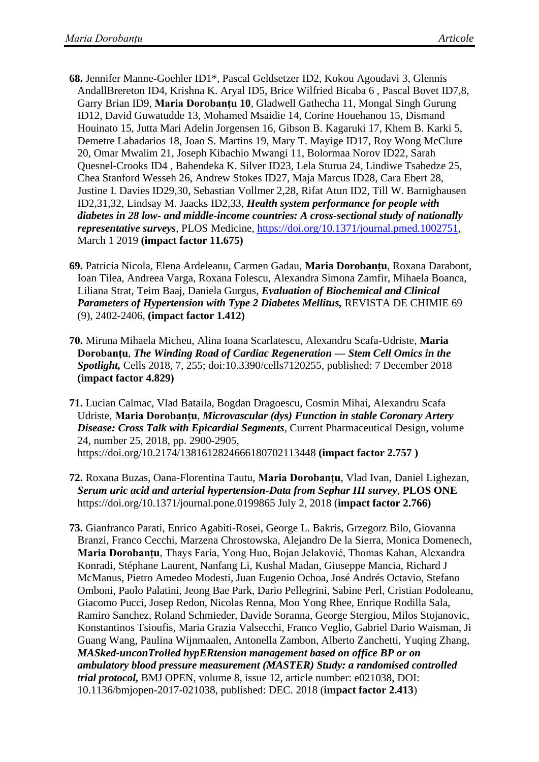- **68.** Jennifer Manne-Goehler ID1\*, Pascal Geldsetzer ID2, Kokou Agoudavi 3, Glennis AndallBrereton ID4, Krishna K. Aryal ID5, Brice Wilfried Bicaba 6 , Pascal Bovet ID7,8, Garry Brian ID9, **Maria Dorobanțu 10**, Gladwell Gathecha 11, Mongal Singh Gurung ID12, David Guwatudde 13, Mohamed Msaidie 14, Corine Houehanou 15, Dismand Houinato 15, Jutta Mari Adelin Jorgensen 16, Gibson B. Kagaruki 17, Khem B. Karki 5, Demetre Labadarios 18, Joao S. Martins 19, Mary T. Mayige ID17, Roy Wong McClure 20, Omar Mwalim 21, Joseph Kibachio Mwangi 11, Bolormaa Norov ID22, Sarah Quesnel-Crooks ID4 , Bahendeka K. Silver ID23, Lela Sturua 24, Lindiwe Tsabedze 25, Chea Stanford Wesseh 26, Andrew Stokes ID27, Maja Marcus ID28, Cara Ebert 28, Justine I. Davies ID29,30, Sebastian Vollmer 2,28, Rifat Atun ID2, Till W. Barnighausen ID2,31,32, Lindsay M. Jaacks ID2,33, *Health system performance for people with diabetes in 28 low- and middle-income countries: A cross-sectional study of nationally representative surveys*, PLOS Medicine, [https://doi.org/10.1371/journal.pmed.1002751,](https://doi.org/10.1371/journal.pmed.1002751) March 1 2019 **(impact factor 11.675)**
- **69.** Patricia Nicola, Elena Ardeleanu, Carmen Gadau, **Maria Dorobanțu**, Roxana Darabont, Ioan Tilea, Andreea Varga, Roxana Folescu, Alexandra Simona Zamfir, Mihaela Boanca, Liliana Strat, Teim Baaj, Daniela Gurgus, *Evaluation of Biochemical and Clinical Parameters of Hypertension with Type 2 Diabetes Mellitus,* REVISTA DE CHIMIE 69 (9), 2402-2406, **(impact factor 1.412)**
- **70.** Miruna Mihaela Micheu, Alina Ioana Scarlatescu, Alexandru Scafa-Udriste, **Maria Dorobanțu**, *The Winding Road of Cardiac Regeneration — Stem Cell Omics in the Spotlight,* Cells 2018, 7, 255; doi:10.3390/cells7120255, published: 7 December 2018 **(impact factor 4.829)**
- **71.** Lucian Calmac, Vlad Bataila, Bogdan Dragoescu, Cosmin Mihai, Alexandru Scafa Udriste, **Maria Dorobanțu**, *Microvascular (dys) Function in stable Coronary Artery Disease: Cross Talk with Epicardial Segments*, Current Pharmaceutical Design, volume 24, number 25, 2018, pp. 2900-2905, <https://doi.org/10.2174/1381612824666180702113448> **(impact factor 2.757 )**
- **72.** Roxana Buzas, Oana-Florentina Tautu, **Maria Dorobanțu**, Vlad Ivan, Daniel Lighezan, *Serum uric acid and arterial hypertension-Data from Sephar III survey*, **PLOS ONE** https://doi.org/10.1371/journal.pone.0199865 July 2, 2018 (**impact factor 2.766)**
- **73.** Gianfranco Parati, Enrico Agabiti-Rosei, George L. Bakris, Grzegorz Bilo, Giovanna Branzi, Franco Cecchi, Marzena Chrostowska, Alejandro De la Sierra, Monica Domenech, **Maria Dorobanțu**, Thays Faria, Yong Huo, Bojan Jelaković, Thomas Kahan, Alexandra Konradi, Stéphane Laurent, Nanfang Li, Kushal Madan, Giuseppe Mancia, Richard J McManus, Pietro Amedeo Modesti, Juan Eugenio Ochoa, José Andrés Octavio, Stefano Omboni, Paolo Palatini, Jeong Bae Park, Dario Pellegrini, Sabine Perl, Cristian Podoleanu, Giacomo Pucci, Josep Redon, Nicolas Renna, Moo Yong Rhee, Enrique Rodilla Sala, Ramiro Sanchez, Roland Schmieder, Davide Soranna, George Stergiou, Milos Stojanovic, Konstantinos Tsioufis, Maria Grazia Valsecchi, Franco Veglio, Gabriel Dario Waisman, Ji Guang Wang, Paulina Wijnmaalen, Antonella Zambon, Alberto Zanchetti, Yuqing Zhang, *[MASked-unconTrolled hypERtension management based on office BP or on](https://bmjopen.bmj.com/content/8/12/e021038.abstract)  [ambulatory blood pressure measurement \(MASTER\) Study: a randomised controlled](https://bmjopen.bmj.com/content/8/12/e021038.abstract)  trial protocol*, BMJ OPEN, volume 8, issue 12, article number: e021038, DOI: 10.1136/bmjopen-2017-021038, published: DEC. 2018 (**impact factor 2.413**)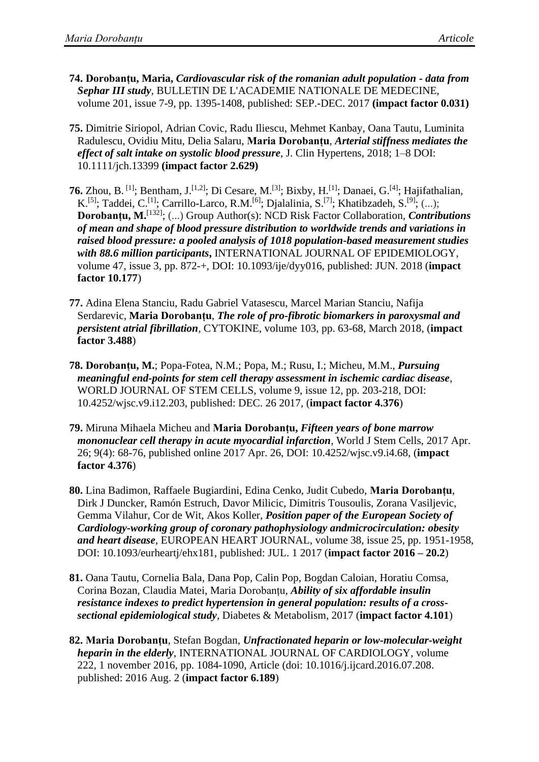- **74. Dorobanțu, Maria,** *Cardiovascular risk of the romanian adult population - data from Sephar III study,* BULLETIN DE L'ACADEMIE NATIONALE DE MEDECINE, volume 201, issue 7-9, pp. 1395-1408, published: SEP.-DEC. 2017 **(impact factor 0.031)**
- **75.** Dimitrie Siriopol, Adrian Covic, Radu Iliescu, Mehmet Kanbay, Oana Tautu, Luminita Radulescu, Ovidiu Mitu, Delia Salaru, **Maria Dorobanțu**, *Arterial stiffness mediates the effect of salt intake on systolic blood pressure*, J. Clin Hypertens, 2018; 1–8 DOI: 10.1111/jch.13399 **(impact factor 2.629)**
- **76.** Zhou, B.<sup>[1]</sup>; Bentham, J.<sup>[1,2]</sup>; Di Cesare, M.<sup>[3]</sup>; Bixby, H.<sup>[1]</sup>; Danaei, G.<sup>[4]</sup>; Hajifathalian, K.<sup>[5]</sup>; Taddei, C.<sup>[1]</sup>; Carrillo-Larco, R.M.<sup>[6]</sup>; Djalalinia, S.<sup>[7]</sup>; Khatibzadeh, S.<sup>[9]</sup>; (...); Dorobanțu, M.<sup>[132]</sup>; (...) Group Author(s): NCD Risk Factor Collaboration, *Contributions of mean and shape of blood pressure distribution to worldwide trends and variations in raised blood pressure: a pooled analysis of 1018 population-based measurement studies with 88.6 million participants***,** INTERNATIONAL JOURNAL OF EPIDEMIOLOGY, volume 47, issue 3, pp. 872-+, DOI: 10.1093/ije/dyy016, published: JUN. 2018 (**impact factor 10.177**)
- **77.** Adina Elena [Stanciu,](https://www.sciencedirect.com/science/article/pii/S1043466617303976) Radu Gabriel [Vatasescu,](https://www.sciencedirect.com/science/article/pii/S1043466617303976) Marcel Marian [Stanciu, Nafija](https://www.sciencedirect.com/science/article/pii/S1043466617303976) [Serdarevic,](https://www.sciencedirect.com/science/article/pii/S1043466617303976) **Maria [Dorobanțu](https://www.sciencedirect.com/science/article/pii/S1043466617303976)**, *The role of pro-fibrotic biomarkers in paroxysmal and persistent atrial fibrillation,* CYTOKINE, volume 103, pp. 63-68, March 2018, (**impact factor 3.488**)
- **78. Dorobanțu, M.**; Popa-Fotea, N.M.; Popa, M.; Rusu, I.; Micheu, M.M., *Pursuing meaningful end-points for stem cell therapy assessment in ischemic cardiac disease*, WORLD JOURNAL OF STEM CELLS, volume 9, issue 12, pp. 203-218, DOI: 10.4252/wjsc.v9.i12.203, published: DEC. 26 2017, (**impact factor 4.376**)
- **79.** Miruna Mihaela Micheu and **Maria Dorobanțu,** *Fifteen years of bone marrow mononuclear cell therapy in acute myocardial infarction,* World J Stem Cells, 2017 Apr. 26; 9(4): 68-76, published online 2017 Apr. 26, DOI: 10.4252/wjsc.v9.i4.68, (**impact factor 4.376**)
- **80.** Lina Badimon, Raffaele Bugiardini, Edina Cenko, Judit Cubedo, **Maria Dorobanțu**, Dirk J Duncker, Ramón Estruch, Davor Milicic, Dimitris Tousoulis, Zorana Vasiljevic, Gemma Vilahur, Cor de Wit, Akos Koller, *Position paper of the European Society of Cardiology-working group of coronary pathophysiology andmicrocirculation: obesity and heart disease*, EUROPEAN HEART JOURNAL, volume 38, issue 25, pp. 1951-1958, DOI: 10.1093/eurheartj/ehx181, published: JUL. 1 2017 (**impact factor 2016 – 20.2**)
- **81.** Oana Tautu, Cornelia Bala, Dana Pop, Calin Pop, Bogdan Caloian, Horatiu Comsa, Corina Bozan, Claudia Matei, Maria Dorobanțu, *Ability of six affordable insulin resistance indexes to predict hypertension in general population: results of a crosssectional epidemiological study*, Diabetes & Metabolism, 2017 (**impact factor 4.101**)
- **82. Maria Dorobanțu**, Stefan Bogdan, *[Unfractionated heparin or low-molecular-weight](http://www.sciencedirect.com/science/article/pii/S0167527316316023)  [heparin in the elderly](http://www.sciencedirect.com/science/article/pii/S0167527316316023)*, INTERNATIONAL JOURNAL OF CARDIOLOGY*,* volume 222, 1 november 2016, pp. 1084-1090, Article (doi: 10.1016/j.ijcard.2016.07.208. published: 2016 Aug. 2 (**impact factor 6.189**)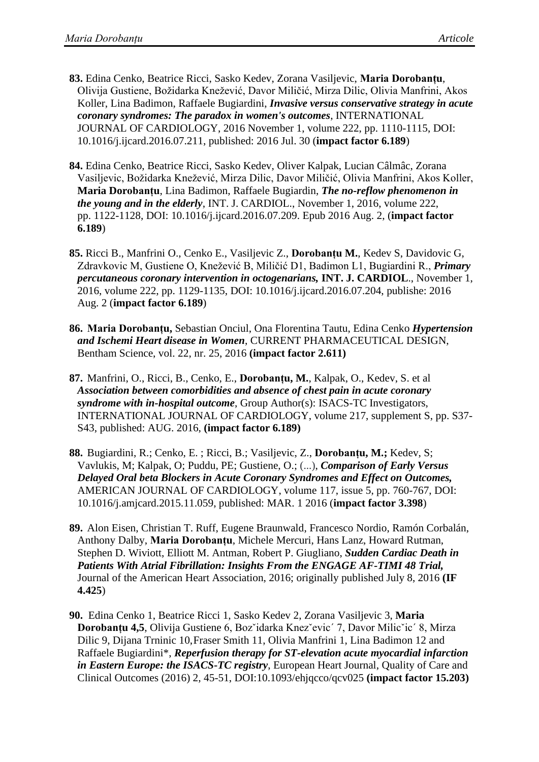- **83.** Edina Cenko, Beatrice Ricci, Sasko Kedev, Zorana Vasiljevic, **Maria Dorobanțu**, Olivija Gustiene, Božidarka Knežević, Davor Miličić, Mirza Dilic, Olivia Manfrini, Akos Koller, Lina Badimon, Raffaele Bugiardini, *Invasive versus conservative strategy in acute coronary syndromes: The paradox in women's outcomes*, INTERNATIONAL JOURNAL OF CARDIOLOGY, 2016 November 1, volume 222, pp. 1110-1115, DOI: 10.1016/j.ijcard.2016.07.211, published: 2016 Jul. 30 (**impact factor 6.189**)
- **84.** Edina Cenko, Beatrice Ricci, Sasko Kedev, Oliver Kalpak, Lucian Câlmâc, Zorana Vasiljevic, Božidarka Knežević, Mirza Dilic, Davor Miličić, Olivia Manfrini, Akos Koller, **Maria Dorobanțu**, Lina Badimon, Raffaele Bugiardin, *The no-reflow phenomenon in the young and in the elderly*, INT. J. CARDIOL., [November 1, 2016,](http://www.internationaljournalofcardiology.com/issue/S0167-5273(16)X0019-8) volume 222, pp. 1122-1128, DOI: 10.1016/j.ijcard.2016.07.209. Epub 2016 Aug. 2, (**impact factor 6.189**)
- **85.** Ricci B., Manfrini O., Cenko E., Vasiljevic Z., **Dorobanțu M.**, Kedev S, Davidovic G, Zdravkovic M, Gustiene O, Knežević B, Miličić D1, Badimon L1, Bugiardini R., *Primary percutaneous coronary intervention in octogenarians,* **INT. J. CARDIOL**., [November 1,](http://www.internationaljournalofcardiology.com/issue/S0167-5273(16)X0019-8) [2016,](http://www.internationaljournalofcardiology.com/issue/S0167-5273(16)X0019-8) volume 222, pp. 1129-1135, DOI: 10.1016/j.ijcard.2016.07.204, publishe: 2016 Aug. 2 (**impact factor 6.189**)
- **86. Maria Dorobanțu,** Sebastian Onciul, Ona Florentina Tautu, Edina Cenko *Hypertension and Ischemi Heart disease in Women*, CURRENT PHARMACEUTICAL DESIGN, Bentham Science, vol. 22, nr. 25, 2016 **(impact factor 2.611)**
- **87.** Manfrini, O., Ricci, B., Cenko, E., **Dorobanțu, M.**, Kalpak, O., Kedev, S. et al *Association between comorbidities and absence of chest pain in acute coronary syndrome with in-hospital outcome*, Group Author(s): ISACS-TC Investigators, INTERNATIONAL JOURNAL OF CARDIOLOGY, volume 217, supplement S, pp. S37- S43, published: AUG. 2016, **(impact factor 6.189)**
- **88.** Bugiardini, R.; Cenko, E. ; Ricci, B.; Vasiljevic, Z., **Dorobanțu, M.;** Kedev, S; Vavlukis, M; Kalpak, O; Puddu, PE; Gustiene, O.; (...), *Comparison of Early Versus Delayed Oral beta Blockers in Acute Coronary Syndromes and Effect on Outcomes,*  AMERICAN JOURNAL OF CARDIOLOGY, volume 117, issue 5, pp. 760-767, DOI: 10.1016/j.amjcard.2015.11.059, published: MAR. 1 2016 (**impact factor 3.398**)
- **89.** Alon Eisen, Christian T. Ruff, Eugene Braunwald, Francesco Nordio, Ramón Corbalán, Anthony Dalby, **Maria Dorobanțu**, Michele Mercuri, Hans Lanz, Howard Rutman, Stephen D. Wiviott, Elliott M. Antman, Robert P. Giugliano, *Sudden Cardiac Death in Patients With Atrial Fibrillation: Insights From the ENGAGE AF-TIMI 48 Trial,*  Journal of the American Heart Association, 2016; originally published July 8, 2016 **(IF 4.425**)
- **90.** Edina Cenko 1, Beatrice Ricci 1, Sasko Kedev 2, Zorana Vasiljevic 3, **Maria Dorobanțu 4,5**, Olivija Gustiene 6, Bozˇidarka Knezˇevic´ 7, Davor Milicˇic´ 8, Mirza Dilic 9, Dijana Trninic 10,Fraser Smith 11, Olivia Manfrini 1, Lina Badimon 12 and Raffaele Bugiardini\*, *Reperfusion therapy for ST-elevation acute myocardial infarction in Eastern Europe: the ISACS-TC registry*, European Heart Journal, Quality of Care and Clinical Outcomes (2016) 2, 45-51, DOI:10.1093/ehjqcco/qcv025 **(impact factor 15.203)**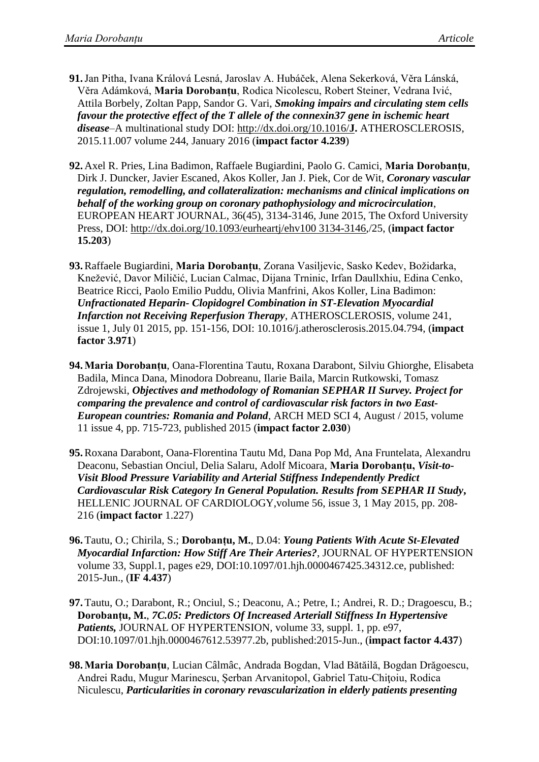- **91.**Jan Pitha, Ivana Králová Lesná, Jaroslav A. Hubáček, Alena Sekerková, Věra Lánská, Věra Adámková, **Maria Dorobanțu**, Rodica Nicolescu, Robert Steiner, Vedrana Ivić, Attila Borbely, Zoltan Papp, Sandor G. Vari, *Smoking impairs and circulating stem cells favour the protective effect of the T allele of the connexin37 gene in ischemic heart disease*–A multinational study DOI: [http://dx.doi.org/10.1016/](http://dx.doi.org/10.1016/J)**J.** ATHEROSCLEROSIS, 2015.11.007 volume 244, [January 2016](http://www.atherosclerosis-journal.com/issue/S0021-9150(15)X0011-6) (**impact factor 4.239**)
- **92.** Axel R. Pries, Lina Badimon, Raffaele Bugiardini, Paolo G. Camici, **Maria Dorobanțu**, Dirk J. Duncker, Javier Escaned, Akos Koller, Jan J. Piek, Cor de Wit, *Coronary vascular regulation, remodelling, and collateralization: mechanisms and clinical implications on behalf of the working group on coronary pathophysiology and microcirculation*, EUROPEAN HEART JOURNAL, 36(45), 3134-3146, June 2015, The Oxford University Press, DOI: [http://dx.doi.org/10.1093/eurheartj/ehv100 3134-3146,](http://dx.doi.org/10.1093/eurheartj/ehv100%203134-3146)/25, (**impact factor 15.203**)
- **93.**Raffaele Bugiardini, **Maria Dorobanțu**, Zorana Vasiljevic, Sasko Kedev, Božidarka, Knežević, Davor Miličić, Lucian Calmac, Dijana Trninic, Irfan Daullxhiu, Edina Cenko, Beatrice Ricci, Paolo Emilio Puddu, Olivia Manfrini, Akos Koller, Lina Badimon: *Unfractionated Heparin- Clopidogrel Combination in ST-Elevation Myocardial Infarction not Receiving Reperfusion Therapy*, [ATHEROSCLEROSIS,](http://www.scopus.com.ux4ll8xu6v.useaccesscontrol.com/source/sourceInfo.url?sourceId=22483&origin=recordpage) volume 241, issue 1, July 01 2015, pp. 151-156, DOI: 10.1016/j.atherosclerosis.2015.04.794, (**impact factor 3.971**)
- **94.Maria Dorobanțu**, Oana-Florentina Tautu, Roxana Darabont, Silviu Ghiorghe, Elisabeta Badila, Minca Dana, Minodora Dobreanu, Ilarie Baila, Marcin Rutkowski, Tomasz Zdrojewski, *Objectives and methodology of Romanian SEPHAR II Survey. Project for comparing the prevalence and control of cardiovascular risk factors in two East-European countries: Romania and Poland*, ARCH MED SCI 4, August / 2015, volume 11 issue 4, pp. 715-723, published 2015 (**impact factor 2.030**)
- **95.**Roxana Darabont, Oana-Florentina Tautu Md, Dana Pop Md, Ana Fruntelata, Alexandru Deaconu, Sebastian Onciul, Delia Salaru, Adolf Micoara, **Maria Dorobanțu,** *Visit-to-Visit Blood Pressure Variability and Arterial Stiffness Independently Predict Cardiovascular Risk Category In General Population. Results from SEPHAR II Study***,**  HELLENIC JOURNAL OF CARDIOLOGY,volume 56, issue 3, 1 May 2015, pp. 208- 216 (**impact factor** 1.227)
- **96.**[Tautu, O.](http://apps.webofknowledge.com.ezproxy.umf.ro/OneClickSearch.do?product=UA&search_mode=OneClickSearch&excludeEventConfig=ExcludeIfFromFullRecPage&SID=X1wYjx9gRbyyhTfgRmt&field=AU&value=Tautu%2C+O); [Chirila, S.](http://apps.webofknowledge.com.ezproxy.umf.ro/OneClickSearch.do?product=UA&search_mode=OneClickSearch&excludeEventConfig=ExcludeIfFromFullRecPage&SID=X1wYjx9gRbyyhTfgRmt&field=AU&value=Chirila%2C+S); **[Dorobanțu, M.](http://apps.webofknowledge.com.ezproxy.umf.ro/OneClickSearch.do?product=UA&search_mode=OneClickSearch&excludeEventConfig=ExcludeIfFromFullRecPage&SID=X1wYjx9gRbyyhTfgRmt&field=AU&value=Dorobantu%2C+M)**, D.04: *Young Patients With Acute St-Elevated Myocardial Infarction: How Stiff Are Their Arteries?*, JOURNAL OF HYPERTENSION volume 33, Suppl.1, pages e29, DOI:10.1097/01.hjh.0000467425.34312.ce, published: 2015-Jun., (**IF 4.437**)
- **97.**Tautu, O.; Darabont, R.; Onciul, S.; Deaconu, A.; Petre, I.; Andrei, R. D.; Dragoescu, B.; **Dorobanțu, M.**, *7C.05: Predictors Of Increased Arteriall Stiffness In Hypertensive Patients,* JOURNAL OF HYPERTENSION, volume 33, suppl. 1, pp. e97, DOI:10.1097/01.hjh.0000467612.53977.2b, published:2015-Jun., (**impact factor 4.437**)
- **98.Maria Dorobanţu**, Lucian Câlmâc, Andrada Bogdan, Vlad Bătăilă, Bogdan Drăgoescu, Andrei Radu, Mugur Marinescu, Şerban Arvanitopol, Gabriel Tatu-Chiţoiu, Rodica Niculescu, *Particularities in coronary revascularization in elderly patients presenting*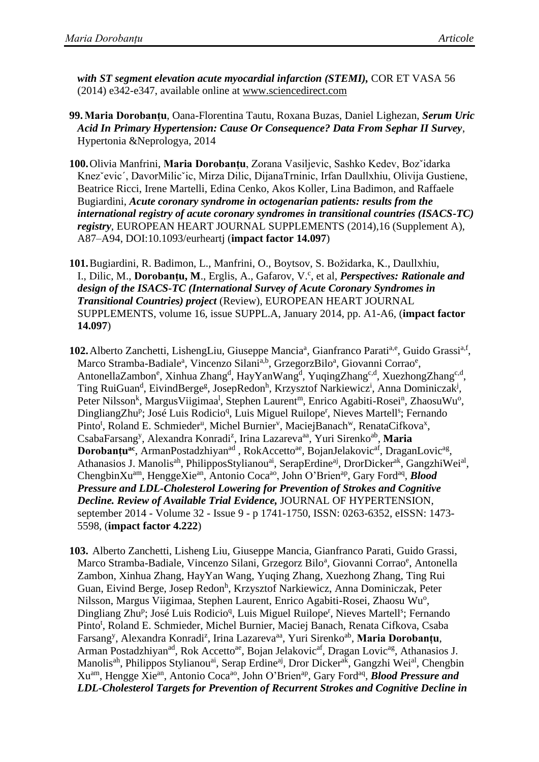*with ST segment elevation acute myocardial infarction (STEMI),* COR ET VASA 56 (2014) e342-e347, available online at [www.sciencedirect.com](http://www.sciencedirect.com/)

- **99.Maria Dorobanțu**, Oana-Florentina Tautu, Roxana Buzas, Daniel Lighezan, *Serum Uric Acid In Primary Hypertension: Cause Or Consequence? Data From Sephar II Survey*, Hypertonia &Neprologya, 2014
- **100.**Olivia Manfrini, **Maria Dorobanțu**, Zorana Vasiljevic, Sashko Kedev, Bozˇidarka Knezˇevic´, DavorMilicˇic, Mirza Dilic, DijanaTrninic, Irfan Daullxhiu, Olivija Gustiene, Beatrice Ricci, Irene Martelli, Edina Cenko, Akos Koller, Lina Badimon, and Raffaele Bugiardini, *Acute coronary syndrome in octogenarian patients: results from the international registry of acute coronary syndromes in transitional countries (ISACS-TC) registry*, EUROPEAN HEART JOURNAL SUPPLEMENTS (2014),16 (Supplement A), A87–A94, DOI:10.1093/eurheartj (**impact factor 14.097**)
- **101.**[Bugiardini, R.](http://www.scopus.com.ux4ll8xu6v.useaccesscontrol.com/authid/detail.url?authorId=26541113500&eid=2-s2.0-84892692666) [Badimon, L.,](http://www.scopus.com.ux4ll8xu6v.useaccesscontrol.com/authid/detail.url?authorId=7102141956&eid=2-s2.0-84892692666) [Manfrini, O.,](http://www.scopus.com.ux4ll8xu6v.useaccesscontrol.com/authid/detail.url?authorId=6505860414&eid=2-s2.0-84892692666) [Boytsov, S.](http://www.scopus.com.ux4ll8xu6v.useaccesscontrol.com/authid/detail.url?authorId=56580221300&eid=2-s2.0-84892692666) [Božidarka, K.,](http://www.scopus.com.ux4ll8xu6v.useaccesscontrol.com/authid/detail.url?authorId=56010522400&eid=2-s2.0-84892692666) [Daullxhiu,](http://www.scopus.com.ux4ll8xu6v.useaccesscontrol.com/authid/detail.url?authorId=26027859400&eid=2-s2.0-84892692666)  [I.,](http://www.scopus.com.ux4ll8xu6v.useaccesscontrol.com/authid/detail.url?authorId=26027859400&eid=2-s2.0-84892692666) [Dilic, M.](http://www.scopus.com.ux4ll8xu6v.useaccesscontrol.com/authid/detail.url?authorId=6602250628&eid=2-s2.0-84892692666), [Dorobanțu, M](http://www.scopus.com.ux4ll8xu6v.useaccesscontrol.com/authid/detail.url?authorId=6604055561&eid=2-s2.0-84892692666)., [Erglis, A.,](http://www.scopus.com.ux4ll8xu6v.useaccesscontrol.com/authid/detail.url?authorId=55874114700&eid=2-s2.0-84892692666) [Gafarov, V](http://www.scopus.com.ux4ll8xu6v.useaccesscontrol.com/authid/detail.url?authorId=7003714962&eid=2-s2.0-84892692666)[.](http://www.scopus.com.ux4ll8xu6v.useaccesscontrol.com/record/display.url?eid=2-s2.0-84892692666&origin=resultslist&sort=plf-f&src=s&st1=dorobantu&st2=m&nlo=1&nlr=50&nls=count-f&sid=8D67F67D2D6B9DB183A550081A9AC5B7.Vdktg6RVtMfaQJ4pNTCQ%3a113&sot=anl&sdt=aut&sl=39&s=AU-ID%28%22Doroban%c5%a3u%2c+Maria+I.%22+6604055561%29&relpos=6&relpos=6&citeCnt=0&searchTerm=AU-ID%28%5C%26quot%3BDoroban%C5%A3u%2C+Maria+I.%5C%26quot%3B+6604055561%29)<sup>c</sup>, et al, *Perspectives: Rationale and design of the ISACS-TC (International Survey of Acute Coronary Syndromes in Transitional Countries) project* (Review), EUROPEAN HEART JOURNAL SUPPLEMENTS, volume 16, issue SUPPL.A, January 2014, pp. A1-A6, (**impact factor 14.097**)
- 102. Alberto Zanchetti, LishengLiu, Giuseppe Mancia<sup>a</sup>, Gianfranco Parati<sup>a,e</sup>, Guido Grassi<sup>a,f</sup>, Marco Stramba-Badiale<sup>a</sup>, Vincenzo Silani<sup>a,b</sup>, GrzegorzBilo<sup>a</sup>, Giovanni Corrao<sup>e</sup>, AntonellaZambon<sup>e</sup>, Xinhua Zhang<sup>d</sup>, HayYanWang<sup>d</sup>, YuqingZhang<sup>c,d</sup>, XuezhongZhang<sup>c,d</sup>, Ting RuiGuan<sup>d</sup>, EivindBerge<sup>g</sup>, JosepRedon<sup>h</sup>, Krzysztof Narkiewicz<sup>i</sup>, Anna Dominiczak<sup>j</sup>, Peter Nilsson<sup>k</sup>, Margus Viigimaa<sup>l</sup>, Stephen Laurent<sup>m</sup>, Enrico Agabiti-Rosei<sup>n</sup>, Zhaosu Wu<sup>o</sup>, DingliangZhu<sup>p</sup>; José Luis Rodicio<sup>q</sup>, Luis Miguel Ruilope<sup>r</sup>, Nieves Martell<sup>s</sup>; Fernando Pinto<sup>t</sup>, Roland E. Schmieder<sup>u</sup>, Michel Burnier<sup>v</sup>, MaciejBanach<sup>w</sup>, RenataCifkova<sup>x</sup>, CsabaFarsang<sup>y</sup>, Alexandra Konradi<sup>z</sup>, Irina Lazareva<sup>aa</sup>, Yuri Sirenko<sup>ab</sup>, Maria **Dorobanțu<sup>ac</sup>**, ArmanPostadzhiyan<sup>ad</sup>, RokAccetto<sup>ae</sup>, BojanJelakovic<sup>af</sup>, DraganLovic<sup>ag</sup>, Athanasios J. Manolis<sup>ah</sup>, PhilipposStylianou<sup>ai</sup>, SerapErdine<sup>aj</sup>, DrorDicker<sup>ak</sup>, GangzhiWei<sup>al</sup>, ChengbinXu<sup>am</sup>, HenggeXie<sup>an</sup>, Antonio Coca<sup>ao</sup>, John O'Brien<sup>ap</sup>, Gary Ford<sup>aq</sup>, *Blood Pressure and LDL-Cholesterol Lowering for Prevention of Strokes and Cognitive Decline. Review of Available Trial Evidence,* JOURNAL OF HYPERTENSION, [september 2014 -](http://journals.lww.com/jhypertension/toc/2014/09000) Volume 32 - Issue 9 - p 1741-1750, ISSN: 0263-6352, eISSN: 1473- 5598, (**impact factor 4.222**)
- **103.** Alberto Zanchetti, Lisheng Liu, Giuseppe Mancia, Gianfranco Parati, Guido Grassi, Marco Stramba-Badiale, Vincenzo Silani, Grzegorz Bilo<sup>a</sup>, Giovanni Corrao<sup>e</sup>, Antonella Zambon, Xinhua Zhang, HayYan Wang, Yuqing Zhang, Xuezhong Zhang, Ting Rui Guan, Eivind Berge, Josep Redon<sup>h</sup>, Krzysztof Narkiewicz, Anna Dominiczak, Peter Nilsson, Margus Viigimaa, Stephen Laurent, Enrico Agabiti-Rosei, Zhaosu Wu<sup>o</sup>, Dingliang Zhu<sup>p</sup>; José Luis Rodicio<sup>q</sup>, Luis Miguel Ruilope<sup>r</sup>, Nieves Martell<sup>s</sup>; Fernando Pinto<sup>t</sup>, Roland E. Schmieder, Michel Burnier, Maciej Banach, Renata Cifkova, Csaba Farsang<sup>y</sup>, Alexandra Konradi<sup>z</sup>, Irina Lazareva<sup>aa</sup>, Yuri Sirenko<sup>ab</sup>, **Maria Dorobanțu**, Arman Postadzhiyan<sup>ad</sup>, Rok Accetto<sup>ae</sup>, Bojan Jelakovic<sup>af</sup>, Dragan Lovic<sup>ag</sup>, Athanasios J. Manolis<sup>ah</sup>, Philippos Stylianou<sup>ai</sup>, Serap Erdine<sup>aj</sup>, Dror Dicker<sup>ak</sup>, Gangzhi Wei<sup>al</sup>, Chengbin Xuam, Hengge Xiean, Antonio Cocaao, John O'Brienap, Gary Fordaq , *Blood Pressure and LDL-Cholesterol Targets for Prevention of Recurrent Strokes and Cognitive Decline in*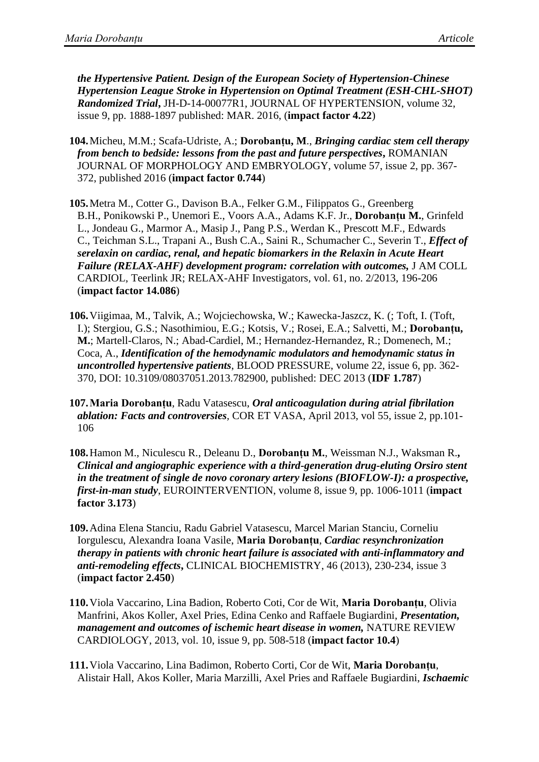*the Hypertensive Patient. Design of the European Society of Hypertension-Chinese Hypertension League Stroke in Hypertension on Optimal Treatment (ESH-CHL-SHOT) Randomized Trial***,** JH-D-14-00077R1, JOURNAL OF HYPERTENSION, volume 32, issue 9, pp. 1888-1897 published: MAR. 2016, (**impact factor 4.22**)

- **104.**Micheu, M.M.; Scafa-Udriste, A.; **Dorobanțu, M**., *Bringing cardiac stem cell therapy from bench to bedside: lessons from the past and future perspectives***,** ROMANIAN JOURNAL OF MORPHOLOGY AND EMBRYOLOGY, volume 57, issue 2, pp. 367- 372, published 2016 (**impact factor 0.744**)
- **105.**[Metra M.](http://www.ncbi.nlm.nih.gov/pubmed?term=Metra%20M%5BAuthor%5D&cauthor=true&cauthor_uid=23273292), [Cotter G.](http://www.ncbi.nlm.nih.gov/pubmed?term=Cotter%20G%5BAuthor%5D&cauthor=true&cauthor_uid=23273292), [Davison B.A.](http://www.ncbi.nlm.nih.gov/pubmed?term=Davison%20BA%5BAuthor%5D&cauthor=true&cauthor_uid=23273292), [Felker G.M.](http://www.ncbi.nlm.nih.gov/pubmed?term=Felker%20GM%5BAuthor%5D&cauthor=true&cauthor_uid=23273292), [Filippatos G.](http://www.ncbi.nlm.nih.gov/pubmed?term=Filippatos%20G%5BAuthor%5D&cauthor=true&cauthor_uid=23273292), [Greenberg](http://www.ncbi.nlm.nih.gov/pubmed?term=Greenberg%20BH%5BAuthor%5D&cauthor=true&cauthor_uid=23273292)  [B.H.](http://www.ncbi.nlm.nih.gov/pubmed?term=Greenberg%20BH%5BAuthor%5D&cauthor=true&cauthor_uid=23273292), [Ponikowski P.](http://www.ncbi.nlm.nih.gov/pubmed?term=Ponikowski%20P%5BAuthor%5D&cauthor=true&cauthor_uid=23273292), [Unemori E.](http://www.ncbi.nlm.nih.gov/pubmed?term=Unemori%20E%5BAuthor%5D&cauthor=true&cauthor_uid=23273292), [Voors A.A.](http://www.ncbi.nlm.nih.gov/pubmed?term=Voors%20AA%5BAuthor%5D&cauthor=true&cauthor_uid=23273292), [Adams K.F.](http://www.ncbi.nlm.nih.gov/pubmed?term=Adams%20KF%20Jr%5BAuthor%5D&cauthor=true&cauthor_uid=23273292) Jr., **[Dorobanțu](http://www.ncbi.nlm.nih.gov/pubmed?term=Dorobantu%20MI%5BAuthor%5D&cauthor=true&cauthor_uid=23273292) M.**, [Grinfeld](http://www.ncbi.nlm.nih.gov/pubmed?term=Grinfeld%20L%5BAuthor%5D&cauthor=true&cauthor_uid=23273292)  [L.](http://www.ncbi.nlm.nih.gov/pubmed?term=Grinfeld%20L%5BAuthor%5D&cauthor=true&cauthor_uid=23273292), [Jondeau G.](http://www.ncbi.nlm.nih.gov/pubmed?term=Jondeau%20G%5BAuthor%5D&cauthor=true&cauthor_uid=23273292), [Marmor A.](http://www.ncbi.nlm.nih.gov/pubmed?term=Marmor%20A%5BAuthor%5D&cauthor=true&cauthor_uid=23273292), [Masip J.](http://www.ncbi.nlm.nih.gov/pubmed?term=Masip%20J%5BAuthor%5D&cauthor=true&cauthor_uid=23273292), [Pang P.S.](http://www.ncbi.nlm.nih.gov/pubmed?term=Pang%20PS%5BAuthor%5D&cauthor=true&cauthor_uid=23273292), [Werdan K.](http://www.ncbi.nlm.nih.gov/pubmed?term=Werdan%20K%5BAuthor%5D&cauthor=true&cauthor_uid=23273292), [Prescott M.F.](http://www.ncbi.nlm.nih.gov/pubmed?term=Prescott%20MF%5BAuthor%5D&cauthor=true&cauthor_uid=23273292), [Edwards](http://www.ncbi.nlm.nih.gov/pubmed?term=Edwards%20C%5BAuthor%5D&cauthor=true&cauthor_uid=23273292)  [C.](http://www.ncbi.nlm.nih.gov/pubmed?term=Edwards%20C%5BAuthor%5D&cauthor=true&cauthor_uid=23273292), [Teichman S.L.](http://www.ncbi.nlm.nih.gov/pubmed?term=Teichman%20SL%5BAuthor%5D&cauthor=true&cauthor_uid=23273292), [Trapani A.](http://www.ncbi.nlm.nih.gov/pubmed?term=Trapani%20A%5BAuthor%5D&cauthor=true&cauthor_uid=23273292), [Bush C.A.](http://www.ncbi.nlm.nih.gov/pubmed?term=Bush%20CA%5BAuthor%5D&cauthor=true&cauthor_uid=23273292), [Saini R.](http://www.ncbi.nlm.nih.gov/pubmed?term=Saini%20R%5BAuthor%5D&cauthor=true&cauthor_uid=23273292), [Schumacher C.](http://www.ncbi.nlm.nih.gov/pubmed?term=Schumacher%20C%5BAuthor%5D&cauthor=true&cauthor_uid=23273292), [Severin T.](http://www.ncbi.nlm.nih.gov/pubmed?term=Severin%20T%5BAuthor%5D&cauthor=true&cauthor_uid=23273292), *Effect of serelaxin on cardiac, renal, and hepatic biomarkers in the Relaxin in Acute Heart Failure (RELAX-AHF) development program: correlation with outcomes,* [J AM COLL](http://www.ncbi.nlm.nih.gov/pubmed/23273292)  [CARDIOL,](http://www.ncbi.nlm.nih.gov/pubmed/23273292) [Teerlink JR;](http://www.ncbi.nlm.nih.gov/pubmed?term=Teerlink%20JR%5BAuthor%5D&cauthor=true&cauthor_uid=23273292) [RELAX-AHF Investigators](http://www.ncbi.nlm.nih.gov/pubmed?term=RELAX-AHF%20Investigators%5BCorporate%20Author%5D)*,* vol. 61, no. 2/2013, 196-206 (**impact factor 14.086**)
- **106.**Viigimaa, M., Talvik, A.; Wojciechowska, W.; Kawecka-Jaszcz, K. (; Toft, I. (Toft, I.); Stergiou, G.S.; Nasothimiou, E.G.; Kotsis, V.; Rosei, E.A.; Salvetti, M.; **Dorobanțu, M.**; Martell-Claros, N.; Abad-Cardiel, M.; Hernandez-Hernandez, R.; Domenech, M.; Coca, A., *Identification of the hemodynamic modulators and hemodynamic status in uncontrolled hypertensive patients*, BLOOD PRESSURE, volume 22, issue 6, pp. 362- 370, DOI: 10.3109/08037051.2013.782900, published: DEC 2013 (**IDF 1.787**)
- **107.Maria Dorobanțu**, Radu Vatasescu, *Oral anticoagulation during atrial fibrilation ablation: Facts and controversies,* COR ET VASA, April 2013, vol 55, issue 2, pp.101- 106
- **108.**[Hamon M.](http://www.ncbi.nlm.nih.gov/pubmed?term=Hamon%20M%5BAuthor%5D&cauthor=true&cauthor_uid=23339805), [Niculescu R.](http://www.ncbi.nlm.nih.gov/pubmed?term=Niculescu%20R%5BAuthor%5D&cauthor=true&cauthor_uid=23339805), [Deleanu D.](http://www.ncbi.nlm.nih.gov/pubmed?term=Deleanu%20D%5BAuthor%5D&cauthor=true&cauthor_uid=23339805), **[Dorobanțu](http://www.ncbi.nlm.nih.gov/pubmed?term=Dorobantu%20M%5BAuthor%5D&cauthor=true&cauthor_uid=23339805) M.**, [Weissman N.J.](http://www.ncbi.nlm.nih.gov/pubmed?term=Weissman%20NJ%5BAuthor%5D&cauthor=true&cauthor_uid=23339805), [Waksman R.](http://www.ncbi.nlm.nih.gov/pubmed?term=Waksman%20R%5BAuthor%5D&cauthor=true&cauthor_uid=23339805)**,**  *Clinical and angiographic experience with a third-generation drug-eluting Orsiro stent in the treatment of single de novo coronary artery lesions (BIOFLOW-I): a prospective, first-in-man study*, EUROINTERVENTION, volume 8, issue 9, pp. 1006-1011 (**impact factor 3.173**)
- **109.**Adina Elena Stanciu, Radu Gabriel Vatasescu, Marcel Marian Stanciu, Corneliu Iorgulescu, Alexandra Ioana Vasile, **Maria Dorobanțu**, *Cardiac resynchronization therapy in patients with chronic heart failure is associated with anti-inflammatory and anti-remodeling effects***,** CLINICAL BIOCHEMISTRY, 46 (2013), 230-234, issue 3 (**impact factor 2.450**)
- **110.**Viola Vaccarino, Lina Badion, Roberto Coti, Cor de Wit, **Maria Dorobanțu**, Olivia Manfrini, Akos Koller, Axel Pries, Edina Cenko and Raffaele Bugiardini, *Presentation, management and outcomes of ischemic heart disease in women,* NATURE REVIEW CARDIOLOGY, 2013, vol. 10, issue 9, pp. 508-518 (**impact factor 10.4**)
- **111.**Viola Vaccarino, Lina Badimon, Roberto Corti, Cor de Wit, **Maria Dorobanțu**, Alistair Hall, Akos Koller, Maria Marzilli, Axel Pries and Raffaele Bugiardini, *Ischaemic*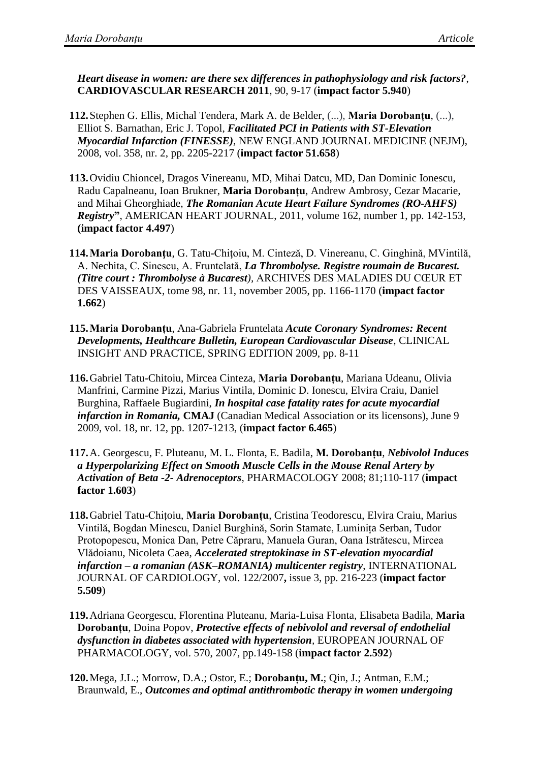*Heart disease in women: are there sex differences in pathophysiology and risk factors?*, **CARDIOVASCULAR RESEARCH 2011**, 90, 9-17 (**impact factor 5.940**)

- **112.**Stephen G. Ellis, Michal Tendera, Mark A. de Belder, (...), **Maria Dorobanțu**, (...), Elliot S. Barnathan, Eric J. Topol, *Facilitated PCI in Patients with ST-Elevation Myocardial Infarction (FINESSE)*, NEW ENGLAND JOURNAL MEDICINE (NEJM), 2008, vol. 358, nr. 2, pp. 2205-2217 (**impact factor 51.658**)
- **113.**Ovidiu Chioncel, Dragos Vinereanu, MD, Mihai Datcu, MD, Dan Dominic Ionescu, Radu Capalneanu, Ioan Brukner, **Maria Dorobanțu**, Andrew Ambrosy, Cezar Macarie, and Mihai Gheorghiade, *The Romanian Acute Heart Failure Syndromes (RO-AHFS) Registry***"**, AMERICAN HEART JOURNAL, 2011, volume 162, number 1, pp. 142-153, **(impact factor 4.497**)
- **114.Maria Dorobanţu**, G. Tatu-Chiţoiu, M. Cinteză, D. Vinereanu, C. Ginghină, MVintilă, A. Nechita, C. Sinescu, A. Fruntelată, *La Thrombolyse. Registre roumain de Bucarest. (Titre court : Thrombolyse à Bucarest),* ARCHIVES DES MALADIES DU CŒUR ET DES VAISSEAUX, tome 98, nr. 11, november 2005, pp. 1166-1170 (**impact factor 1.662**)
- **115.Maria Dorobanțu**, Ana-Gabriela Fruntelata *Acute Coronary Syndromes: Recent Developments, Healthcare Bulletin, European Cardiovascular Disease*, CLINICAL INSIGHT AND PRACTICE, SPRING EDITION 2009, pp. 8-11
- **116.**Gabriel Tatu-Chitoiu, Mircea Cinteza, **Maria Dorobanțu**, Mariana Udeanu, Olivia Manfrini, Carmine Pizzi, Marius Vintila, Dominic D. Ionescu, Elvira Craiu, Daniel Burghina, Raffaele Bugiardini, *In hospital case fatality rates for acute myocardial infarction in Romania,* **CMAJ** (Canadian Medical Association or its licensons), June 9 2009, vol. 18, nr. 12, pp. 1207-1213, (**impact factor 6.465**)
- **117.**A. Georgescu, F. Pluteanu, M. L. Flonta, E. Badila, **M. Dorobanțu**, *Nebivolol Induces a Hyperpolarizing Effect on Smooth Muscle Cells in the Mouse Renal Artery by Activation of Beta -2- Adrenoceptors*, PHARMACOLOGY 2008; 81;110-117 (**impact factor 1.603**)
- **118.**Gabriel Tatu-Chițoiu, **Maria Dorobanțu**, Cristina Teodorescu, Elvira Craiu, Marius Vintilă, Bogdan Minescu, Daniel Burghină, Sorin Stamate, Luminița Serban, Tudor Protopopescu, Monica Dan, Petre Căpraru, Manuela Guran, Oana Istrătescu, Mircea Vlădoianu, Nicoleta Caea, *Accelerated streptokinase in ST-elevation myocardial infarction – a romanian (ASK–ROMANIA) multicenter registry*, INTERNATIONAL JOURNAL OF CARDIOLOGY, vol. 122/2007**,** issue 3, pp. 216-223 (**impact factor 5.509**)
- **119.**Adriana Georgescu, Florentina Pluteanu, Maria-Luisa Flonta, Elisabeta Badila, **Maria Dorobanțu**, Doina Popov, *Protective effects of nebivolol and reversal of endothelial dysfunction in diabetes associated with hypertension,* EUROPEAN JOURNAL OF PHARMACOLOGY, vol. 570, 2007, pp.149-158 (**impact factor 2.592**)
- **120.**Mega, J.L.; Morrow, D.A.; Ostor, E.; **Dorobanțu, M.**; Qin, J.; Antman, E.M.; Braunwald, E., *Outcomes and optimal antithrombotic therapy in women undergoing*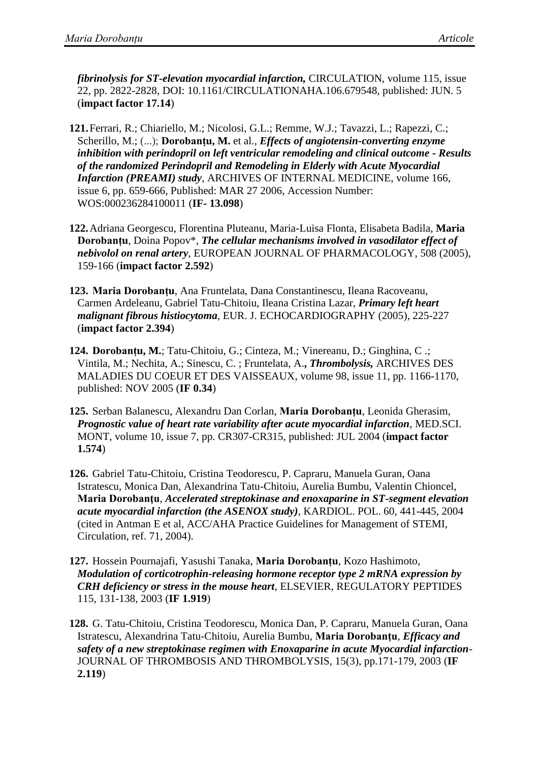*fibrinolysis for ST-elevation myocardial infarction,* CIRCULATION, volume 115, issue 22, pp. 2822-2828, DOI: 10.1161/CIRCULATIONAHA.106.679548, published: JUN. 5 (**impact factor 17.14**)

- **121.**Ferrari, R.; Chiariello, M.; Nicolosi, G.L.; Remme, W.J.; Tavazzi, L.; Rapezzi, C.; Scherillo, M.; (...); **Dorobanțu, M.** et al.*, Effects of angiotensin-converting enzyme inhibition with perindopril on left ventricular remodeling and clinical outcome - Results of the randomized Perindopril and Remodeling in Elderly with Acute Myocardial Infarction (PREAMI) study*, ARCHIVES OF INTERNAL MEDICINE, volume 166, issue 6, pp. 659-666, Published: MAR 27 2006, Accession Number: WOS:000236284100011 (**IF- 13.098**)
- **122.**Adriana Georgescu, Florentina Pluteanu, Maria-Luisa Flonta, Elisabeta Badila, **Maria Dorobanțu**, Doina Popov\*, *The cellular mechanisms involved in vasodilator effect of nebivolol on renal artery*, EUROPEAN JOURNAL OF PHARMACOLOGY, 508 (2005), 159-166 (**impact factor 2.592**)
- **123. Maria Dorobanțu**, Ana Fruntelata, Dana Constantinescu, Ileana Racoveanu, Carmen Ardeleanu, Gabriel Tatu-Chitoiu, Ileana Cristina Lazar, *Primary left heart malignant fibrous histiocytoma*, EUR. J. ECHOCARDIOGRAPHY (2005), 225-227 (**impact factor 2.394**)
- **124. Dorobanțu, M.**; Tatu-Chitoiu, G.; Cinteza, M.; Vinereanu, D.; Ginghina, C .; Vintila, M.; Nechita, A.; Sinescu, C. ; Fruntelata, A.**,** *Thrombolysis,* ARCHIVES DES MALADIES DU COEUR ET DES VAISSEAUX, volume 98, issue 11, pp. 1166-1170, published: NOV 2005 (**IF 0.34**)
- **125.** Serban Balanescu, Alexandru Dan Corlan, **Maria Dorobanțu**, Leonida Gherasim, *Prognostic value of heart rate variability after acute myocardial infarction*, MED.SCI. MONT, volume 10, issue 7, pp. CR307-CR315, published: JUL 2004 (**impact factor 1.574**)
- **126.** Gabriel Tatu-Chitoiu, Cristina Teodorescu, P. Capraru, Manuela Guran, Oana Istratescu, Monica Dan, Alexandrina Tatu-Chitoiu, Aurelia Bumbu, Valentin Chioncel, **Maria Dorobanţu**, *Accelerated streptokinase and enoxaparine in ST-segment elevation acute myocardial infarction (the ASENOX study)*, KARDIOL. POL. 60, 441-445, 2004 (cited in Antman E et al, ACC/AHA Practice Guidelines for Management of STEMI, Circulation, ref. 71, 2004).
- **127.** Hossein Pournajafi, Yasushi Tanaka, **Maria Dorobanțu**, Kozo Hashimoto, *Modulation of corticotrophin-releasing hormone receptor type 2 mRNA expression by CRH deficiency or stress in the mouse heart*, ELSEVIER, REGULATORY PEPTIDES 115, 131-138, 2003 (**IF 1.919**)

**128.** G. Tatu-Chitoiu, Cristina Teodorescu, Monica Dan, P. Capraru, Manuela Guran, Oana Istratescu, Alexandrina Tatu-Chitoiu, Aurelia Bumbu, **Maria Dorobanţu**, *Efficacy and safety of a new streptokinase regimen with Enoxaparine in acute Myocardial infarction-*JOURNAL OF THROMBOSIS AND THROMBOLYSIS, 15(3), pp.171-179, 2003 (**IF 2.119**)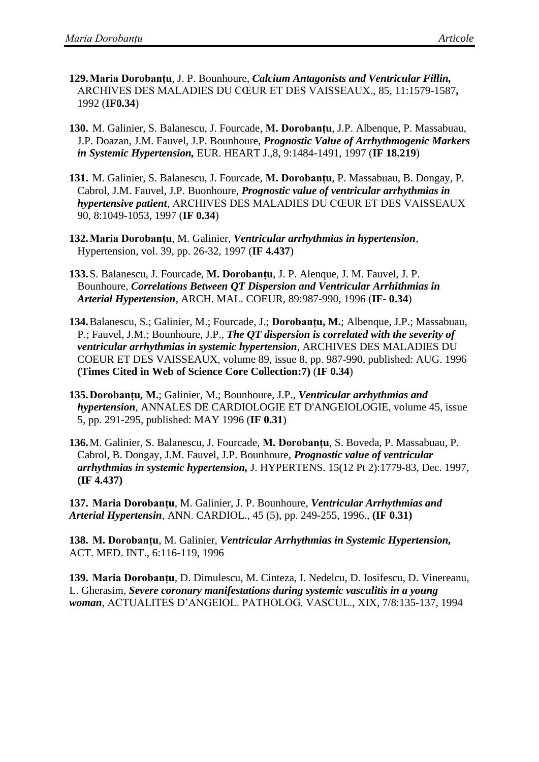- **129.Maria Dorobanțu**, J. P. Bounhoure, *Calcium Antagonists and Ventricular Fillin,*  ARCHIVES DES MALADIES DU CŒUR ET DES VAISSEAUX., 85, 11:1579-1587**,**  1992 (**IF0.34**)
- **130.** M. Galinier, S. Balanescu, J. Fourcade*,* **M. Dorobanțu***,* J.P. Albenque, P. Massabuau, J.P. Doazan, J.M. Fauvel, J.P. Bounhoure, *Prognostic Value of Arrhythmogenic Markers in Systemic Hypertension,* EUR. HEART J*.,*8, 9:1484-1491, 1997 (**IF 18.219**)
- **131.** M. Galinier, S. Balanescu, J. Fourcade, **M. Dorobanțu**, P. Massabuau, B. Dongay, P. Cabrol, J.M. Fauvel, J.P. Buonhoure, *Prognostic value of ventricular arrhythmias in hypertensive patient*, ARCHIVES DES MALADIES DU CŒUR ET DES VAISSEAUX 90, 8:1049-1053, 1997 (**IF 0.34**)
- **132.Maria Dorobanțu**, M. Galinier, *Ventricular arrhythmias in hypertension,*  Hypertension*,* vol. 39, pp. 26-32, 1997 (**IF 4.437**)
- **133.**S. Balanescu, J. Fourcade, **M. Dorobanțu**, J. P. Alenque, J. M. Fauvel, J. P. Bounhoure, *Correlations Between QT Dispersion and Ventricular Arrhithmias in Arterial Hypertension*, ARCH. MAL. COEUR, 89:987-990, 1996 (**IF- 0.34**)
- **134.**Balanescu, S.; Galinier, M.; Fourcade, J.; **Dorobanțu, M.**; Albenque, J.P.; Massabuau, P.; Fauvel, J.M.; Bounhoure, J.P., *The QT dispersion is correlated with the severity of ventricular arrhythmias in systemic hypertension*, ARCHIVES DES MALADIES DU COEUR ET DES VAISSEAUX, volume 89, issue 8, pp. 987-990, published: AUG. 1996 **(Times Cited in Web of Science Core Collection:7)** (**IF 0.34**)
- **135.Dorobanțu, M.**; Galinier, M.; Bounhoure, J.P., *Ventricular arrhythmias and hypertension*, ANNALES DE CARDIOLOGIE ET D'ANGEIOLOGIE, volume 45, issue 5, pp. 291-295, published: MAY 1996 (**IF 0.31**)
- **136.**M. Galinier, S. Balanescu, J. Fourcade, **M. Dorobanțu**, S. Boveda, P. Massabuau, P. Cabrol, B. Dongay, J.M. Fauvel, J.P. Bounhoure, *Prognostic value of ventricular arrhythmias in systemic hypertension,* J. HYPERTENS. 15(12 Pt 2):1779-83, Dec. 1997, **(IF 4.437)**

**137. Maria Dorobanțu**, M. Galinier, J. P. Bounhoure, *Ventricular Arrhythmias and Arterial Hypertensin*, ANN. CARDIOL*.,* 45 (5), pp. 249-255, 1996., **(IF 0.31)**

**138. M. Dorobanțu**, M. Galinier, *Ventricular Arrhythmias in Systemic Hypertension,* ACT. MED. INT., 6:116-119, 1996

**139. Maria Dorobanțu**, D. Dimulescu, M. Cinteza, I. Nedelcu, D. Iosifescu, D. Vinereanu, L. Gherasim, *Severe coronary manifestations during systemic vasculitis in a young woman*, ACTUALITES D'ANGEIOL. PATHOLOG. VASCUL., XIX, 7/8:135-137, 1994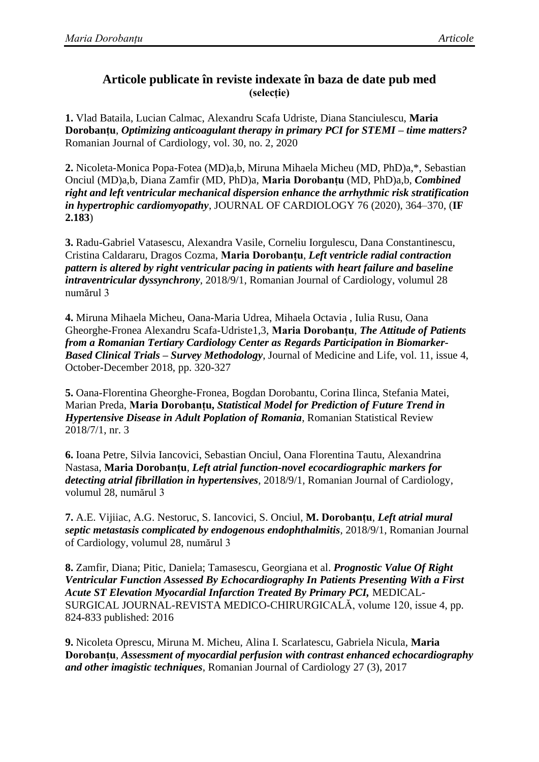## **Articole publicate în reviste indexate în baza de date pub med (selecție)**

**1.** Vlad Bataila, Lucian Calmac, Alexandru Scafa Udriste, Diana Stanciulescu, **Maria Dorobanțu**, *Optimizing anticoagulant therapy in primary PCI for STEMI – time matters?* Romanian Journal of Cardiology, vol. 30, no. 2, 2020

**2.** Nicoleta-Monica Popa-Fotea (MD)a,b, Miruna Mihaela Micheu (MD, PhD)a,\*, Sebastian Onciul (MD)a,b, Diana Zamfir (MD, PhD)a, **Maria Dorobanțu** (MD, PhD)a,b, *Combined right and left ventricular mechanical dispersion enhance the arrhythmic risk stratification in hypertrophic cardiomyopathy*, JOURNAL OF CARDIOLOGY 76 (2020), 364–370, (**IF 2.183**)

**3.** Radu-Gabriel Vatasescu, Alexandra Vasile, Corneliu Iorgulescu, Dana Constantinescu, Cristina Caldararu, Dragos Cozma, **Maria Dorobanțu**, *Left ventricle radial contraction pattern is altered by right ventricular pacing in patients with heart failure and baseline intraventricular dyssynchrony*, 2018/9/1, Romanian Journal of Cardiology, volumul 28 numărul 3

**4.** Miruna Mihaela Micheu, Oana-Maria Udrea, Mihaela Octavia , Iulia Rusu, Oana Gheorghe-Fronea Alexandru Scafa-Udriste1,3, **Maria Dorobanțu**, *The Attitude of Patients from a Romanian Tertiary Cardiology Center as Regards Participation in Biomarker-Based Clinical Trials – Survey Methodology*, Journal of Medicine and Life, vol. 11, issue 4, October-December 2018, pp. 320-327

**5.** Oana-Florentina Gheorghe-Fronea, Bogdan Dorobantu, Corina Ilinca, Stefania Matei, Marian Preda, **Maria Dorobanțu,** *Statistical Model for Prediction of Future Trend in Hypertensive Disease in Adult Poplation of Romania*, Romanian Statistical Review 2018/7/1, nr. 3

**6.** Ioana Petre, Silvia Iancovici, Sebastian Onciul, Oana Florentina Tautu, Alexandrina Nastasa, **Maria Dorobanțu**, *[Left atrial function-novel ecocardiographic markers for](https://www.romanianjournalcardiology.ro/wp-content/uploads/2018/10/RRC_art-5.pdf)  [detecting atrial fibrillation in hypertensives](https://www.romanianjournalcardiology.ro/wp-content/uploads/2018/10/RRC_art-5.pdf)*, 2018/9/1, Romanian Journal of Cardiology, volumul 28, numărul 3

**7.** A.E. Vijiiac, A.G. Nestoruc, S. Iancovici, S. Onciul, **M. Dorobanțu**, *Left atrial mural septic metastasis complicated by endogenous endophthalmitis*, 2018/9/1, Romanian Journal of Cardiology, volumul 28, numărul 3

**8.** Zamfir, Diana; Pitic, Daniela; Tamasescu, Georgiana et al. *Prognostic Value Of Right Ventricular Function Assessed By Echocardiography In Patients Presenting With a First Acute ST Elevation Myocardial Infarction Treated By Primary PCI,* MEDICAL-SURGICAL JOURNAL-REVISTA MEDICO-CHIRURGICALĂ, volume 120, issue 4, pp. 824-833 published: 2016

**9.** Nicoleta Oprescu, Miruna M. Micheu, Alina I. Scarlatescu, Gabriela Nicula, **Maria Dorobanțu**, *Assessment of myocardial perfusion with contrast enhanced echocardiography and other imagistic techniques*, Romanian Journal of Cardiology 27 (3), 2017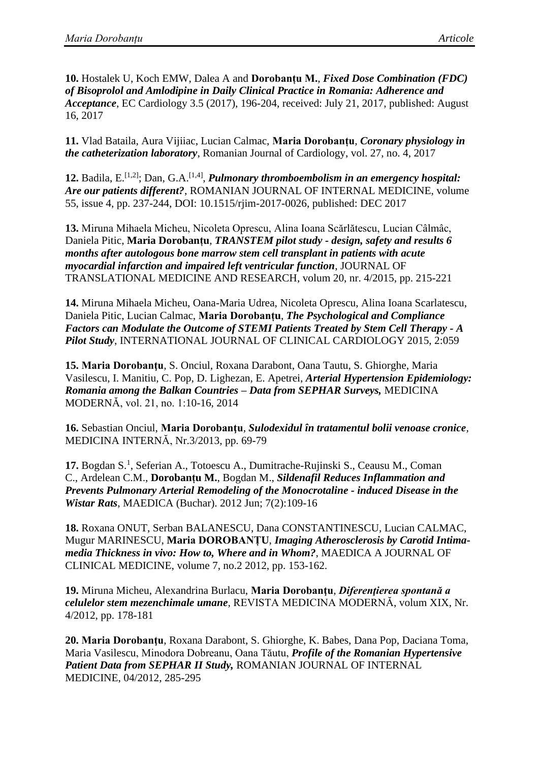**10.** Hostalek U, Koch EMW, Dalea A and **Dorobanțu M.**, *Fixed Dose Combination (FDC) of Bisoprolol and Amlodipine in Daily Clinical Practice in Romania: Adherence and Acceptance*, EC Cardiology 3.5 (2017), 196-204, received: July 21, 2017, published: August 16, 2017

**11.** Vlad Bataila, Aura Vijiiac, Lucian Calmac, **Maria Dorobanțu**, *Coronary physiology in the catheterization laboratory*, Romanian Journal of Cardiology, vol. 27, no. 4, 2017

12. Badila, E.<sup>[1,2]</sup>; Dan, G.A.<sup>[1,4]</sup>, *Pulmonary thromboembolism in an emergency hospital: Are our patients different?*, ROMANIAN JOURNAL OF INTERNAL MEDICINE, volume 55, issue 4, pp. 237-244, DOI: 10.1515/rjim-2017-0026, published: DEC 2017

**13.** Miruna Mihaela Micheu, Nicoleta Oprescu, Alina Ioana Scărlătescu, Lucian Câlmâc, Daniela Pitic, **Maria Dorobanțu**, *TRANSTEM pilot study - design, safety and results 6 months after autologous bone marrow stem cell transplant in patients with acute myocardial infarction and impaired left ventricular function*, JOURNAL OF TRANSLATIONAL MEDICINE AND RESEARCH, volum 20, nr. 4/2015, pp. 215-221

**14.** Miruna Mihaela Micheu, Oana-Maria Udrea, Nicoleta Oprescu, Alina Ioana Scarlatescu, Daniela Pitic, Lucian Calmac, **Maria Dorobanțu**, *The Psychological and Compliance Factors can Modulate the Outcome of STEMI Patients Treated by Stem Cell Therapy - A Pilot Study*, INTERNATIONAL JOURNAL OF CLINICAL CARDIOLOGY 2015, 2:059

**15. Maria Dorobanţu**, S. Onciul, Roxana Darabont, Oana Tautu, S. Ghiorghe, Maria Vasilescu, I. Manitiu, C. Pop, D. Lighezan, E. Apetrei, *Arterial Hypertension Epidemiology: Romania among the Balkan Countries – Data from SEPHAR Surveys,* MEDICINA MODERNĂ, vol. 21, no. 1:10-16, 2014

**16.** Sebastian Onciul, **Maria Dorobanţu**, *Sulodexidul în tratamentul bolii venoase cronice,*  MEDICINA INTERNĂ, Nr.3/2013, pp. 69-79

17. [Bogdan S.](http://www.ncbi.nlm.nih.gov/pubmed?term=Bogdan%20S%5BAuthor%5D&cauthor=true&cauthor_uid=23400229)<sup>1</sup>, [Seferian A.](http://www.ncbi.nlm.nih.gov/pubmed?term=Seferian%20A%5BAuthor%5D&cauthor=true&cauthor_uid=23400229), [Totoescu A.](http://www.ncbi.nlm.nih.gov/pubmed?term=Totoescu%20A%5BAuthor%5D&cauthor=true&cauthor_uid=23400229), [Dumitrache-Rujinski S.](http://www.ncbi.nlm.nih.gov/pubmed?term=Dumitrache-Rujinski%20S%5BAuthor%5D&cauthor=true&cauthor_uid=23400229), [Ceausu M.](http://www.ncbi.nlm.nih.gov/pubmed?term=Ceausu%20M%5BAuthor%5D&cauthor=true&cauthor_uid=23400229), Coman [C.](http://www.ncbi.nlm.nih.gov/pubmed?term=Coman%20C%5BAuthor%5D&cauthor=true&cauthor_uid=23400229), [Ardelean C.M.](http://www.ncbi.nlm.nih.gov/pubmed?term=Ardelean%20CM%5BAuthor%5D&cauthor=true&cauthor_uid=23400229), **[Dorobanțu M.](http://www.ncbi.nlm.nih.gov/pubmed?term=Dorobantu%20M%5BAuthor%5D&cauthor=true&cauthor_uid=23400229)**, Bogdan M., *Sildenafil Reduces Inflammation and Prevents Pulmonary Arterial Remodeling of the Monocrotaline - induced Disease in the Wistar Rats*, [MAEDICA \(Buchar\).](http://www.ncbi.nlm.nih.gov/pubmed/23400229) 2012 Jun; 7(2):109-16

**18.** Roxana ONUT, Serban BALANESCU, Dana CONSTANTINESCU, Lucian CALMAC, Mugur MARINESCU, **Maria DOROBANȚU**, *Imaging Atherosclerosis by Carotid Intimamedia Thickness in vivo: How to, Where and in Whom?*, MAEDICA A JOURNAL OF CLINICAL MEDICINE, volume 7, no.2 2012, pp. 153-162.

**19.** Miruna Micheu, Alexandrina Burlacu, **Maria Dorobanţu**, *Diferenţierea spontană a celulelor stem mezenchimale umane,* REVISTA MEDICINA MODERNĂ, volum XIX, Nr. 4/2012, pp. 178-181

**20. Maria Dorobanţu**, Roxana Darabont, S. Ghiorghe, K. Babes, Dana Pop, Daciana Toma, Maria Vasilescu, Minodora Dobreanu, Oana Tăutu, *Profile of the Romanian Hypertensive Patient Data from SEPHAR II Study,* ROMANIAN JOURNAL OF INTERNAL MEDICINE, 04/2012, 285-295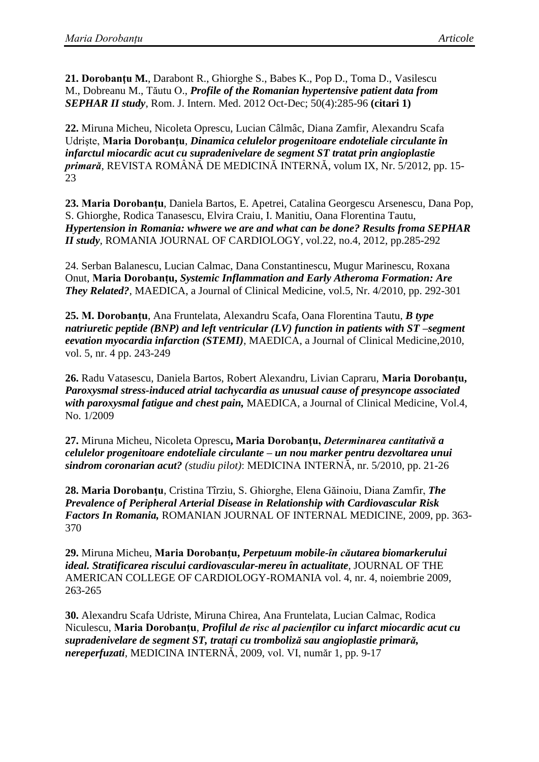**21. [Dorobanţu M.](http://www.ncbi.nlm.nih.gov/pubmed?term=Doroban%C5%A3u%20M%5BAuthor%5D&cauthor=true&cauthor_uid=23610976)**, [Darabont](http://www.ncbi.nlm.nih.gov/pubmed?term=Darabont%20R%5BAuthor%5D&cauthor=true&cauthor_uid=23610976) R., [Ghiorghe S.](http://www.ncbi.nlm.nih.gov/pubmed?term=Ghiorghe%20S%5BAuthor%5D&cauthor=true&cauthor_uid=23610976), [Babes K.](http://www.ncbi.nlm.nih.gov/pubmed?term=Babes%20K%5BAuthor%5D&cauthor=true&cauthor_uid=23610976), [Pop D.](http://www.ncbi.nlm.nih.gov/pubmed?term=Pop%20D%5BAuthor%5D&cauthor=true&cauthor_uid=23610976), [Toma D.](http://www.ncbi.nlm.nih.gov/pubmed?term=Toma%20D%5BAuthor%5D&cauthor=true&cauthor_uid=23610976), [Vasilescu](http://www.ncbi.nlm.nih.gov/pubmed?term=Vasilescu%20M%5BAuthor%5D&cauthor=true&cauthor_uid=23610976)  [M.](http://www.ncbi.nlm.nih.gov/pubmed?term=Vasilescu%20M%5BAuthor%5D&cauthor=true&cauthor_uid=23610976), [Dobreanu M.](http://www.ncbi.nlm.nih.gov/pubmed?term=Dobreanu%20M%5BAuthor%5D&cauthor=true&cauthor_uid=23610976), [Tăutu O.](http://www.ncbi.nlm.nih.gov/pubmed?term=T%C4%83utu%20O%5BAuthor%5D&cauthor=true&cauthor_uid=23610976), *Profile of the Romanian hypertensive patient data from SEPHAR II study*, Rom. J. [Intern.](http://www.ncbi.nlm.nih.gov/pubmed/23610976) Med. 2012 Oct-Dec; 50(4):285-96 **(citari 1)**

**22.** Miruna Micheu, Nicoleta Oprescu, Lucian Câlmâc, Diana Zamfir, Alexandru Scafa Udrişte, **Maria Dorobanţu**, *Dinamica celulelor progenitoare endoteliale circulante în infarctul miocardic acut cu supradenivelare de segment ST tratat prin angioplastie primară*, REVISTA ROMÂNĂ DE MEDICINĂ INTERNĂ, volum IX, Nr. 5/2012, pp. 15- 23

**23. Maria Dorobanțu**, Daniela Bartos, E. Apetrei, Catalina Georgescu Arsenescu, Dana Pop, S. Ghiorghe, Rodica Tanasescu, Elvira Craiu, I. Manitiu, Oana Florentina Tautu, *Hypertension in Romania: whwere we are and what can be done? Results froma SEPHAR II study*, ROMANIA JOURNAL OF CARDIOLOGY, vol.22, no.4, 2012, pp.285-292

24. Serban Balanescu, Lucian Calmac, Dana Constantinescu, Mugur Marinescu, Roxana Onut, **Maria Dorobanțu,** *Systemic Inflammation and Early Atheroma Formation: Are They Related?,* MAEDICA, a Journal of Clinical Medicine, vol.5, Nr. 4/2010, pp. 292-301

**25. M. Dorobanțu**, Ana Fruntelata, Alexandru Scafa, Oana Florentina Tautu, *B type natriuretic peptide (BNP) and left ventricular (LV) function in patients with ST –segment eevation myocardia infarction (STEMI)*, MAEDICA, a Journal of Clinical Medicine,2010, vol. 5, nr. 4 pp. 243-249

**26.** Radu Vatasescu, Daniela Bartos, Robert Alexandru, Livian Capraru, **Maria Dorobanțu,** *Paroxysmal stress-induced atrial tachycardia as unusual cause of presyncope associated with paroxysmal fatigue and chest pain,* MAEDICA, a Journal of Clinical Medicine, Vol.4, No. 1/2009

**27.** Miruna Micheu, Nicoleta Oprescu**, Maria Dorobanţu,** *Determinarea cantitativă a celulelor progenitoare endoteliale circulante – un nou marker pentru dezvoltarea unui sindrom coronarian acut? (studiu pilot)*: MEDICINA INTERNĂ, nr. 5/2010, pp. 21-26

**28. Maria Dorobanţu**, Cristina Tîrziu, S. Ghiorghe, Elena Găinoiu, Diana Zamfir, *The Prevalence of Peripheral Arterial Disease in Relationship with Cardiovascular Risk Factors In Romania,* ROMANIAN JOURNAL OF INTERNAL MEDICINE, 2009, pp. 363- 370

**29.** Miruna Micheu, **Maria Dorobanțu,** *Perpetuum mobile-în căutarea biomarkerului ideal. Stratificarea riscului cardiovascular-mereu în actualitate*, JOURNAL OF THE AMERICAN COLLEGE OF CARDIOLOGY-ROMANIA vol. 4, nr. 4, noiembrie 2009, 263-265

**30.** Alexandru Scafa Udriste, Miruna Chirea, Ana Fruntelata, Lucian Calmac, Rodica Niculescu, **Maria Dorobanțu**, *Profilul de risc al pacienților cu infarct miocardic acut cu supradenivelare de segment ST, tratați cu tromboliză sau angioplastie primară, nereperfuzati*, MEDICINA INTERNĂ, 2009, vol. VI, număr 1, pp. 9-17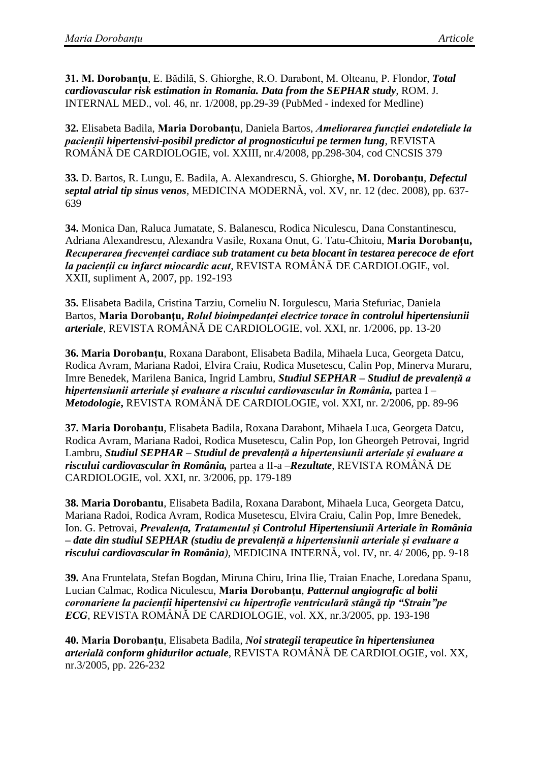**31. M. Dorobanțu**, E. Bădilă, S. Ghiorghe, R.O. Darabont, M. Olteanu, P. Flondor, *Total cardiovascular risk estimation in Romania. Data from the SEPHAR study,* ROM. J. INTERNAL MED., vol. 46, nr. 1/2008, pp.29-39 (PubMed - indexed for Medline)

**32.** Elisabeta Badila, **Maria Dorobanțu**, Daniela Bartos, *Ameliorarea funcției endoteliale la pacienții hipertensivi-posibil predictor al prognosticului pe termen lung*, REVISTA ROMÂNĂ DE CARDIOLOGIE, vol. XXIII, nr.4/2008, pp.298-304, cod CNCSIS 379

**33.** D. Bartos, R. Lungu, E. Badila, A. Alexandrescu, S. Ghiorghe**, M. Dorobanțu**, *Defectul septal atrial tip sinus venos,* MEDICINA MODERNĂ, vol. XV, nr. 12 (dec. 2008), pp. 637- 639

**34.** Monica Dan, Raluca Jumatate, S. Balanescu, Rodica Niculescu, Dana Constantinescu, Adriana Alexandrescu, Alexandra Vasile, Roxana Onut, G. Tatu-Chitoiu, **Maria Dorobanţu,** *Recuperarea frecvenței cardiace sub tratament cu beta blocant în testarea perecoce de efort la pacienții cu infarct miocardic acut*, REVISTA ROMÂNĂ DE CARDIOLOGIE, vol. XXII, supliment A, 2007, pp. 192-193

**35.** Elisabeta Badila, Cristina Tarziu, Corneliu N. Iorgulescu, Maria Stefuriac, Daniela Bartos, **Maria Dorobanţu,** *Rolul bioimpedanței electrice torace în controlul hipertensiunii arteriale*, REVISTA ROMÂNĂ DE CARDIOLOGIE, vol. XXI, nr. 1/2006, pp. 13-20

**36. Maria Dorobanțu**, Roxana Darabont, Elisabeta Badila, Mihaela Luca, Georgeta Datcu, Rodica Avram, Mariana Radoi, Elvira Craiu, Rodica Musetescu, Calin Pop, Minerva Muraru, Imre Benedek, Marilena Banica, Ingrid Lambru, *Studiul SEPHAR – Studiul de prevalență a hipertensiunii arteriale și evaluare a riscului cardiovascular în România,* partea I *– Metodologie***,** REVISTA ROMÂNĂ DE CARDIOLOGIE, vol. XXI, nr. 2/2006, pp. 89-96

**37. Maria Dorobanțu**, Elisabeta Badila, Roxana Darabont, Mihaela Luca, Georgeta Datcu, Rodica Avram, Mariana Radoi, Rodica Musetescu, Calin Pop, Ion Gheorgeh Petrovai, Ingrid Lambru, *Studiul SEPHAR – Studiul de prevalență a hipertensiunii arteriale și evaluare a riscului cardiovascular în România,* partea a II-a –*Rezultate*, REVISTA ROMÂNĂ DE CARDIOLOGIE, vol. XXI, nr. 3/2006, pp. 179-189

**38. Maria Dorobantu**, Elisabeta Badila, Roxana Darabont, Mihaela Luca, Georgeta Datcu, Mariana Radoi, Rodica Avram, Rodica Musetescu, Elvira Craiu, Calin Pop, Imre Benedek, Ion. G. Petrovai, *Prevalența, Tratamentul și Controlul Hipertensiunii Arteriale în România – date din studiul SEPHAR (studiu de prevalență a hipertensiunii arteriale și evaluare a riscului cardiovascular în România)*, MEDICINA INTERNĂ, vol. IV, nr. 4/ 2006, pp. 9-18

**39.** Ana Fruntelata, Stefan Bogdan, Miruna Chiru, Irina Ilie, Traian Enache, Loredana Spanu, Lucian Calmac, Rodica Niculescu, **Maria Dorobanțu**, *Patternul angiografic al bolii coronariene la pacienții hipertensivi cu hipertrofie ventriculară stângă tip "Strain"pe ECG,* REVISTA ROMÂNĂ DE CARDIOLOGIE, vol. XX, nr.3/2005, pp. 193-198

**40. Maria Dorobanțu**, Elisabeta Badila, *Noi strategii terapeutice în hipertensiunea arterială conform ghidurilor actuale,* REVISTA ROMÂNĂ DE CARDIOLOGIE, vol. XX, nr.3/2005, pp. 226-232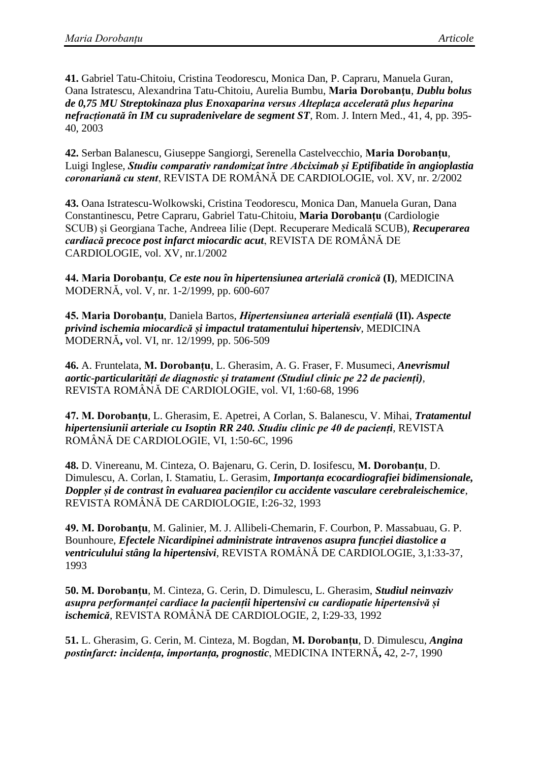**41.** Gabriel Tatu-Chitoiu, Cristina Teodorescu, Monica Dan, P. Capraru, Manuela Guran, Oana Istratescu, Alexandrina Tatu-Chitoiu, Aurelia Bumbu, **Maria Dorobanţu**, *Dublu bolus de 0,75 MU Streptokinaza plus Enoxaparina versus Alteplaza accelerată plus heparina nefracționată în IM cu supradenivelare de segment ST*, Rom. J. Intern Med., 41, 4, pp. 395- 40, 2003

**42.** Serban Balanescu, Giuseppe Sangiorgi, Serenella Castelvecchio, **Maria Dorobanțu**, Luigi Inglese, *Studiu comparativ randomizat între Abciximab și Eptifibatide în angioplastia coronariană cu stent*, REVISTA DE ROMÂNĂ DE CARDIOLOGIE, vol. XV, nr. 2/2002

**43.** Oana Istratescu-Wolkowski, Cristina Teodorescu, Monica Dan, Manuela Guran, Dana Constantinescu, Petre Capraru, Gabriel Tatu-Chitoiu, **Maria Dorobanţu** (Cardiologie SCUB) și Georgiana Tache, Andreea Iilie (Dept. Recuperare Medicală SCUB), *Recuperarea cardiacă precoce post infarct miocardic acut*, REVISTA DE ROMÂNĂ DE CARDIOLOGIE, vol. XV, nr.1/2002

**44. Maria Dorobanțu**, *Ce este nou în hipertensiunea arterială cronică* **(I)**, MEDICINA MODERNĂ, vol. V, nr. 1-2/1999, pp. 600-607

**45. Maria Dorobanțu**, Daniela Bartos, *Hipertensiunea arterială esențială* **(II).** *Aspecte privind ischemia miocardică și impactul tratamentului hipertensiv*, MEDICINA MODERNĂ**,** vol. VI, nr. 12/1999, pp. 506-509

**46.** A. Fruntelata, **M. Dorobanțu**, L. Gherasim, A. G. Fraser, F. Musumeci, *Anevrismul aortic-particularități de diagnostic și tratament (Studiul clinic pe 22 de pacienți),*  REVISTA ROMÂNĂ DE CARDIOLOGIE, vol. VI, 1:60-68, 1996

**47. M. Dorobanțu**, L. Gherasim, E. Apetrei, A Corlan, S. Balanescu, V. Mihai, *Tratamentul hipertensiunii arteriale cu Isoptin RR 240. Studiu clinic pe 40 de pacienți*, REVISTA ROMÂNĂ DE CARDIOLOGIE, VI, 1:50-6C, 1996

**48.** D. Vinereanu, M. Cinteza, O. Bajenaru, G. Cerin, D. Iosifescu, **M. Dorobanțu**, D. Dimulescu, A. Corlan, I. Stamatiu, L. Gerasim, *Importanța ecocardiografiei bidimensionale, Doppler și de contrast în evaluarea pacienților cu accidente vasculare cerebraleischemice*, REVISTA ROMÂNĂ DE CARDIOLOGIE, I:26-32, 1993

**49. M. Dorobanțu**, M. Galinier, M. J. Allibeli-Chemarin, F. Courbon, P. Massabuau, G. P. Bounhoure, *Efectele Nicardipinei administrate intravenos asupra funcției diastolice a ventriculului stâng la hipertensivi*, REVISTA ROMÂNĂ DE CARDIOLOGIE, 3,1:33-37, 1993

**50. M. Dorobanțu**, M. Cinteza, G. Cerin, D. Dimulescu, L. Gherasim, *Studiul neinvaziv asupra performanței cardiace la pacienții hipertensivi cu cardiopatie hipertensivă și ischemică*, REVISTA ROMÂNĂ DE CARDIOLOGIE, 2, I:29-33, 1992

**51.** L. Gherasim, G. Cerin, M. Cinteza, M. Bogdan, **M. Dorobanțu**, D. Dimulescu, *Angina postinfarct: incidența, importanța, prognostic*, MEDICINA INTERNĂ**,** 42, 2-7, 1990